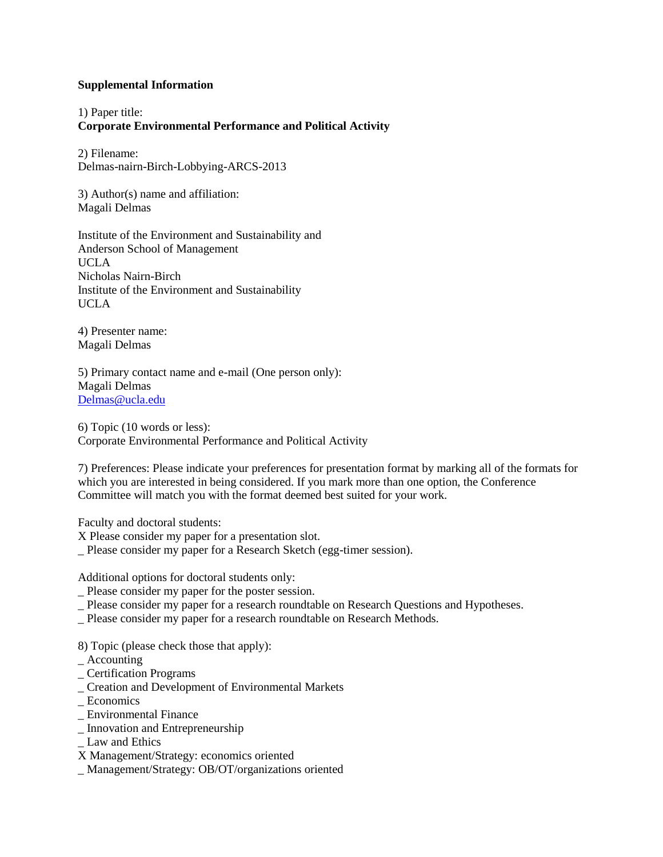### **Supplemental Information**

1) Paper title: **Corporate Environmental Performance and Political Activity**

2) Filename: Delmas-nairn-Birch-Lobbying-ARCS-2013

3) Author(s) name and affiliation: Magali Delmas

Institute of the Environment and Sustainability and Anderson School of Management UCLA Nicholas Nairn-Birch Institute of the Environment and Sustainability UCLA

4) Presenter name: Magali Delmas

5) Primary contact name and e-mail (One person only): Magali Delmas [Delmas@ucla.edu](mailto:Delmas@ucla.edu)

6) Topic (10 words or less): Corporate Environmental Performance and Political Activity

7) Preferences: Please indicate your preferences for presentation format by marking all of the formats for which you are interested in being considered. If you mark more than one option, the Conference Committee will match you with the format deemed best suited for your work.

Faculty and doctoral students:

X Please consider my paper for a presentation slot.

\_ Please consider my paper for a Research Sketch (egg-timer session).

Additional options for doctoral students only:

- \_ Please consider my paper for the poster session.
- \_ Please consider my paper for a research roundtable on Research Questions and Hypotheses.
- \_ Please consider my paper for a research roundtable on Research Methods.

8) Topic (please check those that apply):

- \_ Accounting
- \_ Certification Programs
- \_ Creation and Development of Environmental Markets
- **Economics**
- \_ Environmental Finance
- \_ Innovation and Entrepreneurship
- \_ Law and Ethics
- X Management/Strategy: economics oriented
- \_ Management/Strategy: OB/OT/organizations oriented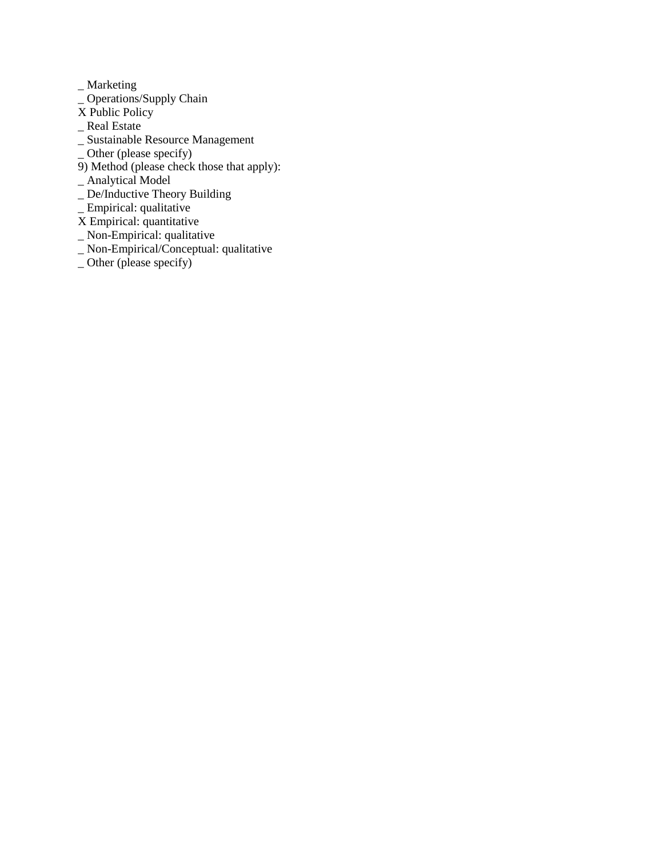\_ Marketing

- $\overline{\phantom{a}}$  Operations/Supply Chain
- $\overline{X}$  Public Policy
- \_ Real Estate
- \_ Sustainable Resource Management
- \_ Other (please specify)
- 9) Method (please check those that apply):
- \_ Analytical Model
- \_ De/Inductive Theory Building
- \_ Empirical: qualitative
- X Empirical: quantitative
- \_ Non-Empirical: qualitative
- \_ Non-Empirical/Conceptual: qualitative
- \_ Other (please specify)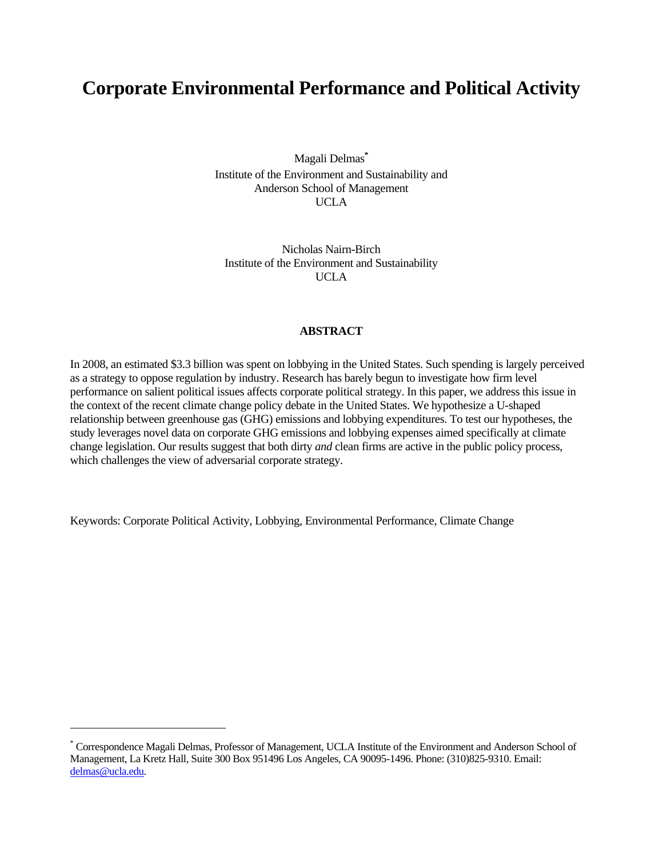# **Corporate Environmental Performance and Political Activity**

Magali Delmas**\*** Institute of the Environment and Sustainability and Anderson School of Management UCLA

Nicholas Nairn-Birch Institute of the Environment and Sustainability UCLA

#### **ABSTRACT**

In 2008, an estimated \$3.3 billion was spent on lobbying in the United States. Such spending is largely perceived as a strategy to oppose regulation by industry. Research has barely begun to investigate how firm level performance on salient political issues affects corporate political strategy. In this paper, we address this issue in the context of the recent climate change policy debate in the United States. We hypothesize a U-shaped relationship between greenhouse gas (GHG) emissions and lobbying expenditures. To test our hypotheses, the study leverages novel data on corporate GHG emissions and lobbying expenses aimed specifically at climate change legislation. Our results suggest that both dirty *and* clean firms are active in the public policy process, which challenges the view of adversarial corporate strategy.

Keywords: Corporate Political Activity, Lobbying, Environmental Performance, Climate Change

<sup>\*</sup> Correspondence Magali Delmas, Professor of Management, UCLA Institute of the Environment and Anderson School of Management, La Kretz Hall, Suite 300 Box 951496 Los Angeles, CA 90095-1496. Phone: (310)825-9310. Email: delmas@ucla.edu.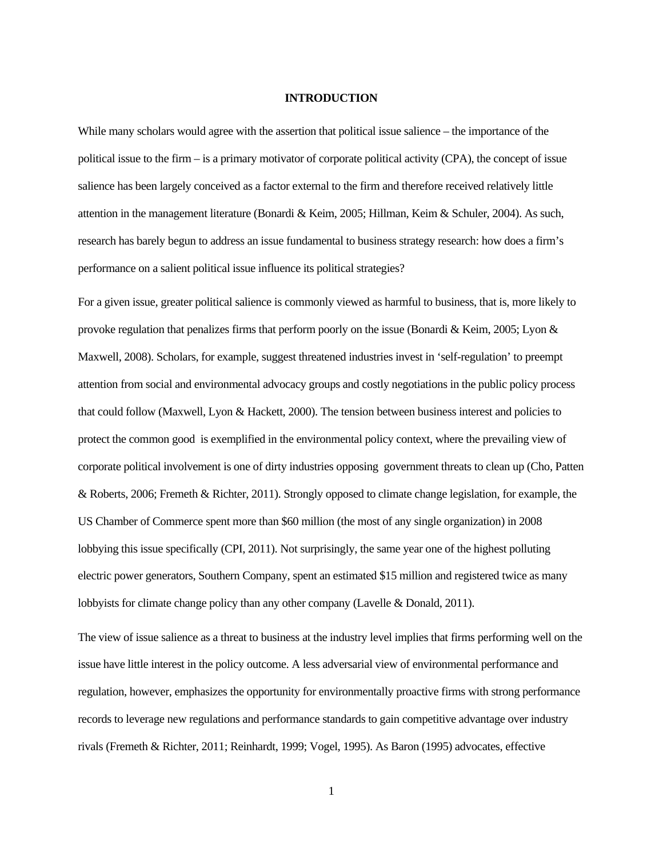#### **INTRODUCTION**

While many scholars would agree with the assertion that political issue salience – the importance of the political issue to the firm – is a primary motivator of corporate political activity (CPA), the concept of issue salience has been largely conceived as a factor external to the firm and therefore received relatively little attention in the management literature (Bonardi & Keim, 2005; Hillman, Keim & Schuler, 2004). As such, research has barely begun to address an issue fundamental to business strategy research: how does a firm's performance on a salient political issue influence its political strategies?

For a given issue, greater political salience is commonly viewed as harmful to business, that is, more likely to provoke regulation that penalizes firms that perform poorly on the issue (Bonardi & Keim, 2005; Lyon & Maxwell, 2008). Scholars, for example, suggest threatened industries invest in 'self-regulation' to preempt attention from social and environmental advocacy groups and costly negotiations in the public policy process that could follow (Maxwell, Lyon & Hackett, 2000). The tension between business interest and policies to protect the common good is exemplified in the environmental policy context, where the prevailing view of corporate political involvement is one of dirty industries opposing government threats to clean up (Cho, Patten & Roberts, 2006; Fremeth & Richter, 2011). Strongly opposed to climate change legislation, for example, the US Chamber of Commerce spent more than \$60 million (the most of any single organization) in 2008 lobbying this issue specifically (CPI, 2011). Not surprisingly, the same year one of the highest polluting electric power generators, Southern Company, spent an estimated \$15 million and registered twice as many lobbyists for climate change policy than any other company (Lavelle & Donald, 2011).

The view of issue salience as a threat to business at the industry level implies that firms performing well on the issue have little interest in the policy outcome. A less adversarial view of environmental performance and regulation, however, emphasizes the opportunity for environmentally proactive firms with strong performance records to leverage new regulations and performance standards to gain competitive advantage over industry rivals (Fremeth & Richter, 2011; Reinhardt, 1999; Vogel, 1995). As Baron (1995) advocates, effective

1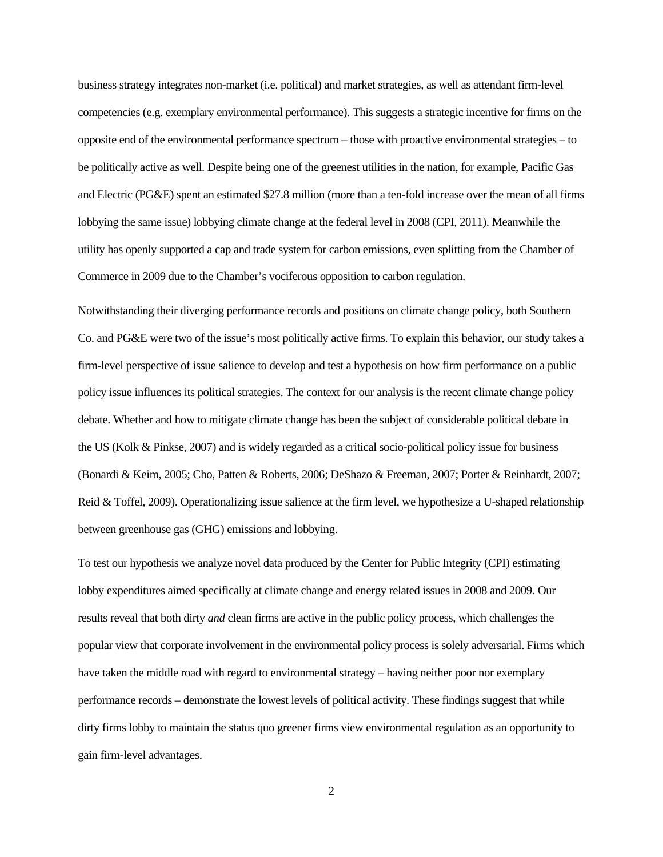business strategy integrates non-market (i.e. political) and market strategies, as well as attendant firm-level competencies (e.g. exemplary environmental performance). This suggests a strategic incentive for firms on the opposite end of the environmental performance spectrum – those with proactive environmental strategies – to be politically active as well. Despite being one of the greenest utilities in the nation, for example, Pacific Gas and Electric (PG&E) spent an estimated \$27.8 million (more than a ten-fold increase over the mean of all firms lobbying the same issue) lobbying climate change at the federal level in 2008 (CPI, 2011). Meanwhile the utility has openly supported a cap and trade system for carbon emissions, even splitting from the Chamber of Commerce in 2009 due to the Chamber's vociferous opposition to carbon regulation.

Notwithstanding their diverging performance records and positions on climate change policy, both Southern Co. and PG&E were two of the issue's most politically active firms. To explain this behavior, our study takes a firm-level perspective of issue salience to develop and test a hypothesis on how firm performance on a public policy issue influences its political strategies. The context for our analysis is the recent climate change policy debate. Whether and how to mitigate climate change has been the subject of considerable political debate in the US (Kolk & Pinkse, 2007) and is widely regarded as a critical socio-political policy issue for business (Bonardi & Keim, 2005; Cho, Patten & Roberts, 2006; DeShazo & Freeman, 2007; Porter & Reinhardt, 2007; Reid & Toffel, 2009). Operationalizing issue salience at the firm level, we hypothesize a U-shaped relationship between greenhouse gas (GHG) emissions and lobbying.

To test our hypothesis we analyze novel data produced by the Center for Public Integrity (CPI) estimating lobby expenditures aimed specifically at climate change and energy related issues in 2008 and 2009. Our results reveal that both dirty *and* clean firms are active in the public policy process, which challenges the popular view that corporate involvement in the environmental policy process is solely adversarial. Firms which have taken the middle road with regard to environmental strategy – having neither poor nor exemplary performance records – demonstrate the lowest levels of political activity. These findings suggest that while dirty firms lobby to maintain the status quo greener firms view environmental regulation as an opportunity to gain firm-level advantages.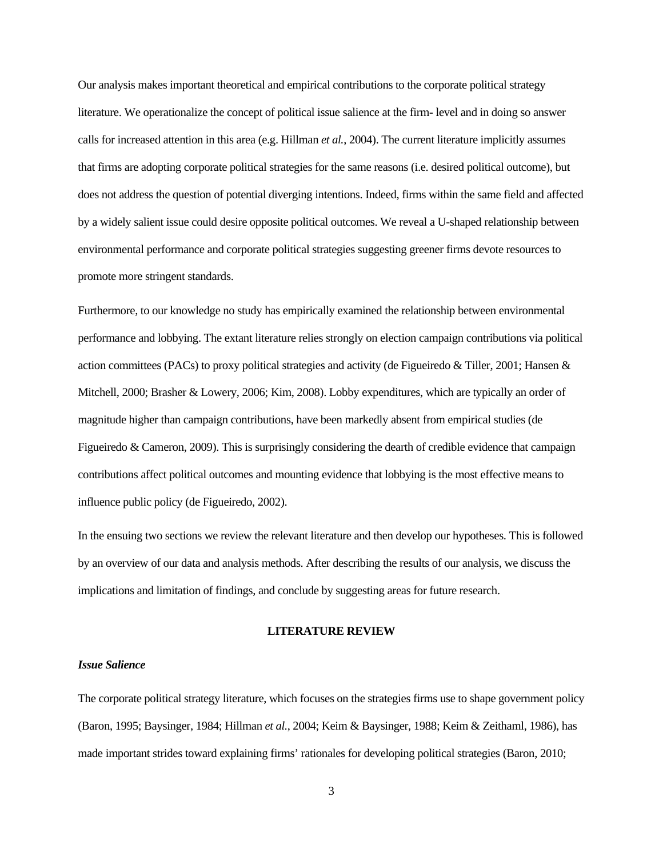Our analysis makes important theoretical and empirical contributions to the corporate political strategy literature. We operationalize the concept of political issue salience at the firm- level and in doing so answer calls for increased attention in this area (e.g. Hillman *et al.*, 2004). The current literature implicitly assumes that firms are adopting corporate political strategies for the same reasons (i.e. desired political outcome), but does not address the question of potential diverging intentions. Indeed, firms within the same field and affected by a widely salient issue could desire opposite political outcomes. We reveal a U-shaped relationship between environmental performance and corporate political strategies suggesting greener firms devote resources to promote more stringent standards.

Furthermore, to our knowledge no study has empirically examined the relationship between environmental performance and lobbying. The extant literature relies strongly on election campaign contributions via political action committees (PACs) to proxy political strategies and activity (de Figueiredo & Tiller, 2001; Hansen & Mitchell, 2000; Brasher & Lowery, 2006; Kim, 2008). Lobby expenditures, which are typically an order of magnitude higher than campaign contributions, have been markedly absent from empirical studies (de Figueiredo & Cameron, 2009). This is surprisingly considering the dearth of credible evidence that campaign contributions affect political outcomes and mounting evidence that lobbying is the most effective means to influence public policy (de Figueiredo, 2002).

In the ensuing two sections we review the relevant literature and then develop our hypotheses. This is followed by an overview of our data and analysis methods. After describing the results of our analysis, we discuss the implications and limitation of findings, and conclude by suggesting areas for future research.

#### **LITERATURE REVIEW**

#### *Issue Salience*

The corporate political strategy literature, which focuses on the strategies firms use to shape government policy (Baron, 1995; Baysinger, 1984; Hillman *et al.*, 2004; Keim & Baysinger, 1988; Keim & Zeithaml, 1986), has made important strides toward explaining firms' rationales for developing political strategies (Baron, 2010;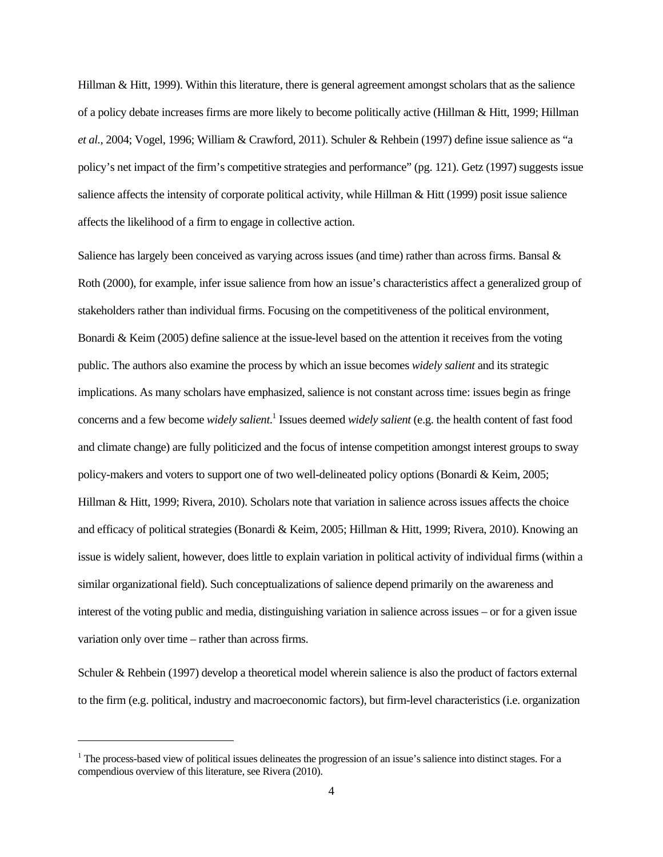Hillman & Hitt, 1999). Within this literature, there is general agreement amongst scholars that as the salience of a policy debate increases firms are more likely to become politically active (Hillman & Hitt, 1999; Hillman *et al.,* 2004; Vogel, 1996; William & Crawford, 2011). Schuler & Rehbein (1997) define issue salience as "a policy's net impact of the firm's competitive strategies and performance" (pg. 121). Getz (1997) suggests issue salience affects the intensity of corporate political activity, while Hillman & Hitt (1999) posit issue salience affects the likelihood of a firm to engage in collective action.

Salience has largely been conceived as varying across issues (and time) rather than across firms. Bansal & Roth (2000), for example, infer issue salience from how an issue's characteristics affect a generalized group of stakeholders rather than individual firms. Focusing on the competitiveness of the political environment, Bonardi & Keim (2005) define salience at the issue-level based on the attention it receives from the voting public. The authors also examine the process by which an issue becomes *widely salient* and its strategic implications. As many scholars have emphasized, salience is not constant across time: issues begin as fringe concerns and a few become *widely salient*. 1 Issues deemed *widely salient* (e.g. the health content of fast food and climate change) are fully politicized and the focus of intense competition amongst interest groups to sway policy-makers and voters to support one of two well-delineated policy options (Bonardi & Keim, 2005; Hillman & Hitt, 1999; Rivera, 2010). Scholars note that variation in salience across issues affects the choice and efficacy of political strategies (Bonardi & Keim, 2005; Hillman & Hitt, 1999; Rivera, 2010). Knowing an issue is widely salient, however, does little to explain variation in political activity of individual firms (within a similar organizational field). Such conceptualizations of salience depend primarily on the awareness and interest of the voting public and media, distinguishing variation in salience across issues – or for a given issue variation only over time – rather than across firms.

Schuler & Rehbein (1997) develop a theoretical model wherein salience is also the product of factors external to the firm (e.g. political, industry and macroeconomic factors), but firm-level characteristics (i.e. organization

-

 $1$  The process-based view of political issues delineates the progression of an issue's salience into distinct stages. For a compendious overview of this literature, see Rivera (2010).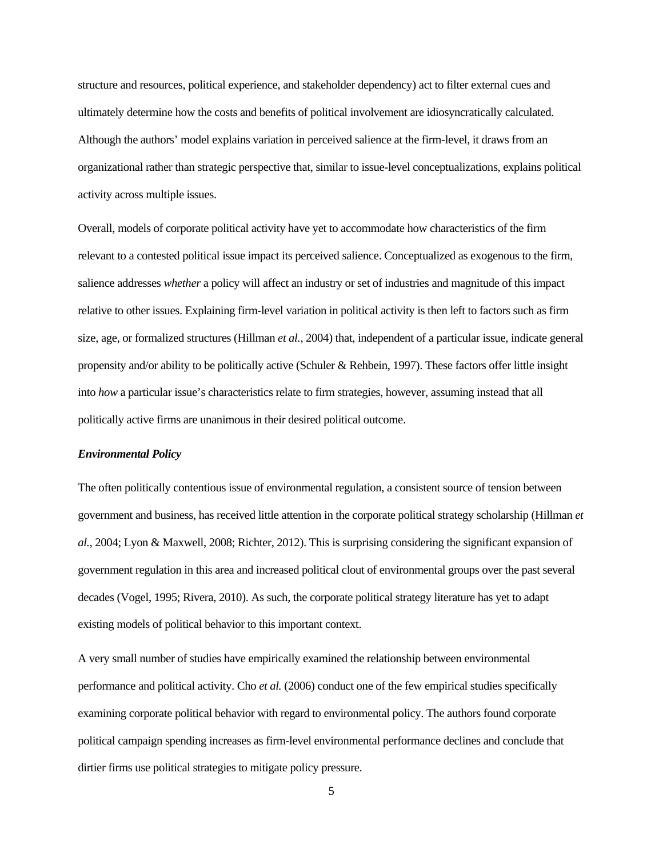structure and resources, political experience, and stakeholder dependency) act to filter external cues and ultimately determine how the costs and benefits of political involvement are idiosyncratically calculated. Although the authors' model explains variation in perceived salience at the firm-level, it draws from an organizational rather than strategic perspective that, similar to issue-level conceptualizations, explains political activity across multiple issues.

Overall, models of corporate political activity have yet to accommodate how characteristics of the firm relevant to a contested political issue impact its perceived salience. Conceptualized as exogenous to the firm, salience addresses *whether* a policy will affect an industry or set of industries and magnitude of this impact relative to other issues. Explaining firm-level variation in political activity is then left to factors such as firm size, age, or formalized structures (Hillman *et al.*, 2004) that, independent of a particular issue, indicate general propensity and/or ability to be politically active (Schuler & Rehbein, 1997). These factors offer little insight into *how* a particular issue's characteristics relate to firm strategies, however, assuming instead that all politically active firms are unanimous in their desired political outcome.

#### *Environmental Policy*

The often politically contentious issue of environmental regulation, a consistent source of tension between government and business, has received little attention in the corporate political strategy scholarship (Hillman *et al.*, 2004; Lyon & Maxwell, 2008; Richter, 2012). This is surprising considering the significant expansion of government regulation in this area and increased political clout of environmental groups over the past several decades (Vogel, 1995; Rivera, 2010). As such, the corporate political strategy literature has yet to adapt existing models of political behavior to this important context.

A very small number of studies have empirically examined the relationship between environmental performance and political activity. Cho *et al.* (2006) conduct one of the few empirical studies specifically examining corporate political behavior with regard to environmental policy. The authors found corporate political campaign spending increases as firm-level environmental performance declines and conclude that dirtier firms use political strategies to mitigate policy pressure.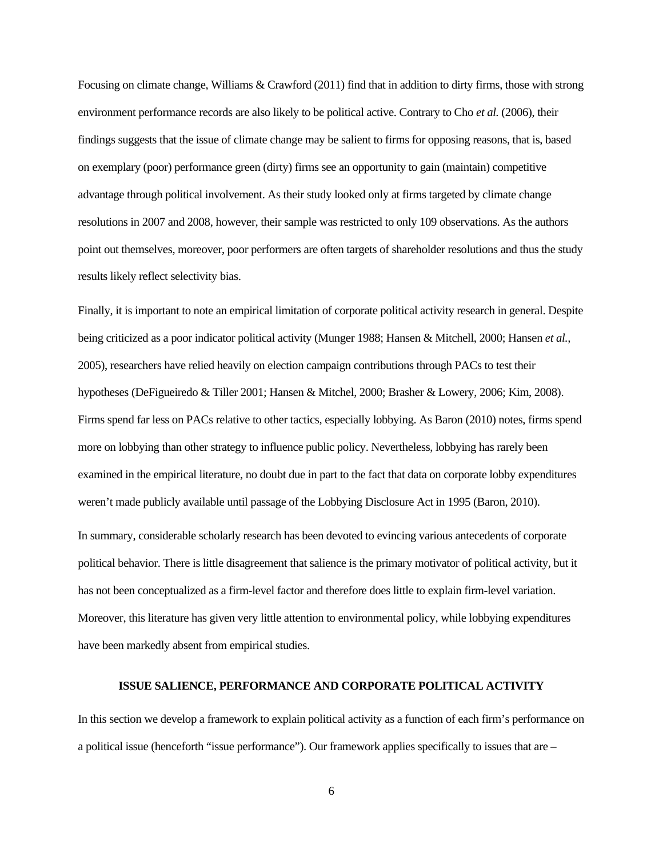Focusing on climate change, Williams & Crawford (2011) find that in addition to dirty firms, those with strong environment performance records are also likely to be political active. Contrary to Cho *et al.* (2006), their findings suggests that the issue of climate change may be salient to firms for opposing reasons, that is, based on exemplary (poor) performance green (dirty) firms see an opportunity to gain (maintain) competitive advantage through political involvement. As their study looked only at firms targeted by climate change resolutions in 2007 and 2008, however, their sample was restricted to only 109 observations. As the authors point out themselves, moreover, poor performers are often targets of shareholder resolutions and thus the study results likely reflect selectivity bias.

Finally, it is important to note an empirical limitation of corporate political activity research in general. Despite being criticized as a poor indicator political activity (Munger 1988; Hansen & Mitchell, 2000; Hansen *et al.,* 2005), researchers have relied heavily on election campaign contributions through PACs to test their hypotheses (DeFigueiredo & Tiller 2001; Hansen & Mitchel, 2000; Brasher & Lowery, 2006; Kim, 2008). Firms spend far less on PACs relative to other tactics, especially lobbying. As Baron (2010) notes, firms spend more on lobbying than other strategy to influence public policy. Nevertheless, lobbying has rarely been examined in the empirical literature, no doubt due in part to the fact that data on corporate lobby expenditures weren't made publicly available until passage of the Lobbying Disclosure Act in 1995 (Baron, 2010).

In summary, considerable scholarly research has been devoted to evincing various antecedents of corporate political behavior. There is little disagreement that salience is the primary motivator of political activity, but it has not been conceptualized as a firm-level factor and therefore does little to explain firm-level variation. Moreover, this literature has given very little attention to environmental policy, while lobbying expenditures have been markedly absent from empirical studies.

#### **ISSUE SALIENCE, PERFORMANCE AND CORPORATE POLITICAL ACTIVITY**

In this section we develop a framework to explain political activity as a function of each firm's performance on a political issue (henceforth "issue performance"). Our framework applies specifically to issues that are –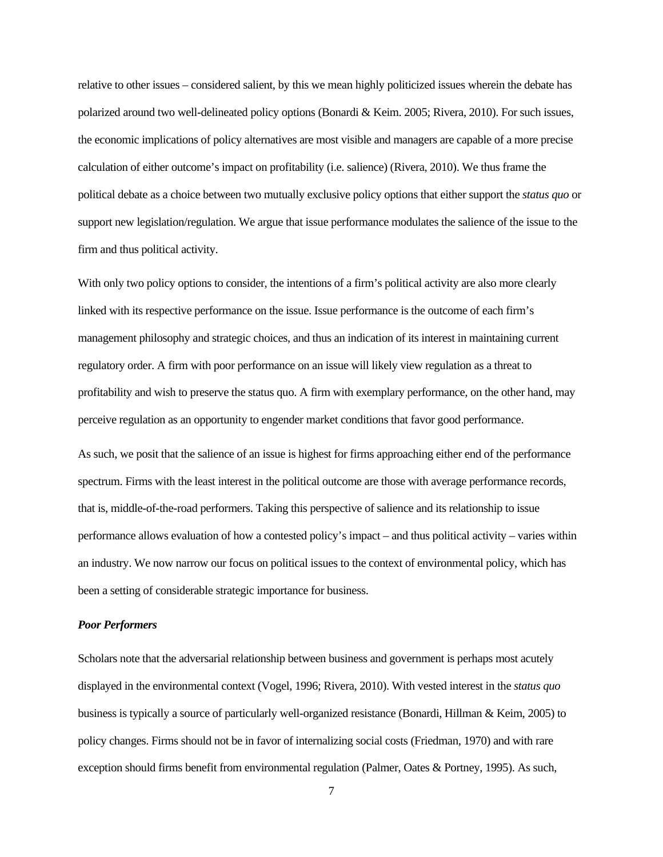relative to other issues – considered salient, by this we mean highly politicized issues wherein the debate has polarized around two well-delineated policy options (Bonardi & Keim. 2005; Rivera, 2010). For such issues, the economic implications of policy alternatives are most visible and managers are capable of a more precise calculation of either outcome's impact on profitability (i.e. salience) (Rivera, 2010). We thus frame the political debate as a choice between two mutually exclusive policy options that either support the *status quo* or support new legislation/regulation. We argue that issue performance modulates the salience of the issue to the firm and thus political activity.

With only two policy options to consider, the intentions of a firm's political activity are also more clearly linked with its respective performance on the issue. Issue performance is the outcome of each firm's management philosophy and strategic choices, and thus an indication of its interest in maintaining current regulatory order. A firm with poor performance on an issue will likely view regulation as a threat to profitability and wish to preserve the status quo. A firm with exemplary performance, on the other hand, may perceive regulation as an opportunity to engender market conditions that favor good performance.

As such, we posit that the salience of an issue is highest for firms approaching either end of the performance spectrum. Firms with the least interest in the political outcome are those with average performance records, that is, middle-of-the-road performers. Taking this perspective of salience and its relationship to issue performance allows evaluation of how a contested policy's impact – and thus political activity – varies within an industry. We now narrow our focus on political issues to the context of environmental policy, which has been a setting of considerable strategic importance for business.

#### *Poor Performers*

Scholars note that the adversarial relationship between business and government is perhaps most acutely displayed in the environmental context (Vogel, 1996; Rivera, 2010). With vested interest in the *status quo* business is typically a source of particularly well-organized resistance (Bonardi, Hillman & Keim, 2005) to policy changes. Firms should not be in favor of internalizing social costs (Friedman, 1970) and with rare exception should firms benefit from environmental regulation (Palmer, Oates & Portney, 1995). As such,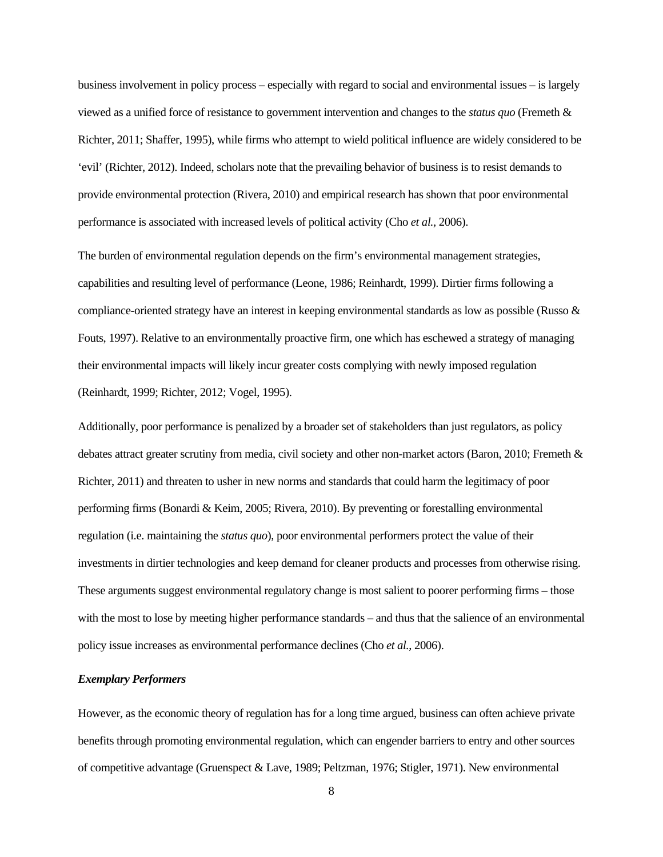business involvement in policy process – especially with regard to social and environmental issues – is largely viewed as a unified force of resistance to government intervention and changes to the *status quo* (Fremeth & Richter, 2011; Shaffer, 1995), while firms who attempt to wield political influence are widely considered to be 'evil' (Richter, 2012). Indeed, scholars note that the prevailing behavior of business is to resist demands to provide environmental protection (Rivera, 2010) and empirical research has shown that poor environmental performance is associated with increased levels of political activity (Cho *et al.,* 2006).

The burden of environmental regulation depends on the firm's environmental management strategies, capabilities and resulting level of performance (Leone, 1986; Reinhardt, 1999). Dirtier firms following a compliance-oriented strategy have an interest in keeping environmental standards as low as possible (Russo & Fouts, 1997). Relative to an environmentally proactive firm, one which has eschewed a strategy of managing their environmental impacts will likely incur greater costs complying with newly imposed regulation (Reinhardt, 1999; Richter, 2012; Vogel, 1995).

Additionally, poor performance is penalized by a broader set of stakeholders than just regulators, as policy debates attract greater scrutiny from media, civil society and other non-market actors (Baron, 2010; Fremeth & Richter, 2011) and threaten to usher in new norms and standards that could harm the legitimacy of poor performing firms (Bonardi & Keim, 2005; Rivera, 2010). By preventing or forestalling environmental regulation (i.e. maintaining the *status quo*), poor environmental performers protect the value of their investments in dirtier technologies and keep demand for cleaner products and processes from otherwise rising. These arguments suggest environmental regulatory change is most salient to poorer performing firms – those with the most to lose by meeting higher performance standards – and thus that the salience of an environmental policy issue increases as environmental performance declines (Cho *et al.*, 2006).

### *Exemplary Performers*

However, as the economic theory of regulation has for a long time argued, business can often achieve private benefits through promoting environmental regulation, which can engender barriers to entry and other sources of competitive advantage (Gruenspect & Lave, 1989; Peltzman, 1976; Stigler, 1971). New environmental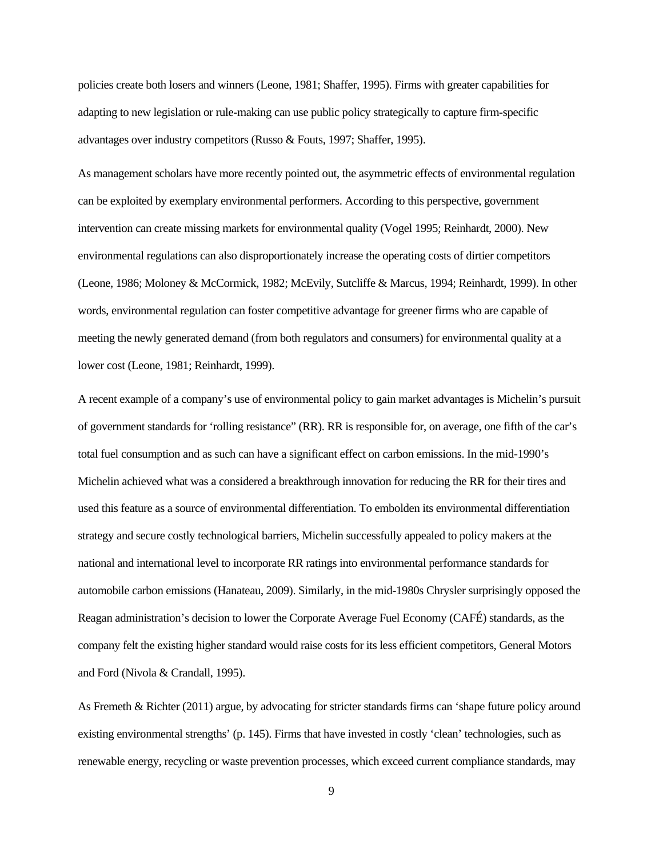policies create both losers and winners (Leone, 1981; Shaffer, 1995). Firms with greater capabilities for adapting to new legislation or rule-making can use public policy strategically to capture firm-specific advantages over industry competitors (Russo & Fouts, 1997; Shaffer, 1995).

As management scholars have more recently pointed out, the asymmetric effects of environmental regulation can be exploited by exemplary environmental performers. According to this perspective, government intervention can create missing markets for environmental quality (Vogel 1995; Reinhardt, 2000). New environmental regulations can also disproportionately increase the operating costs of dirtier competitors (Leone, 1986; Moloney & McCormick, 1982; McEvily, Sutcliffe & Marcus, 1994; Reinhardt, 1999). In other words, environmental regulation can foster competitive advantage for greener firms who are capable of meeting the newly generated demand (from both regulators and consumers) for environmental quality at a lower cost (Leone, 1981; Reinhardt, 1999).

A recent example of a company's use of environmental policy to gain market advantages is Michelin's pursuit of government standards for 'rolling resistance" (RR). RR is responsible for, on average, one fifth of the car's total fuel consumption and as such can have a significant effect on carbon emissions. In the mid-1990's Michelin achieved what was a considered a breakthrough innovation for reducing the RR for their tires and used this feature as a source of environmental differentiation. To embolden its environmental differentiation strategy and secure costly technological barriers, Michelin successfully appealed to policy makers at the national and international level to incorporate RR ratings into environmental performance standards for automobile carbon emissions (Hanateau, 2009). Similarly, in the mid-1980s Chrysler surprisingly opposed the Reagan administration's decision to lower the Corporate Average Fuel Economy (CAFÉ) standards, as the company felt the existing higher standard would raise costs for its less efficient competitors, General Motors and Ford (Nivola & Crandall, 1995).

As Fremeth & Richter (2011) argue, by advocating for stricter standards firms can 'shape future policy around existing environmental strengths' (p. 145). Firms that have invested in costly 'clean' technologies, such as renewable energy, recycling or waste prevention processes, which exceed current compliance standards, may

9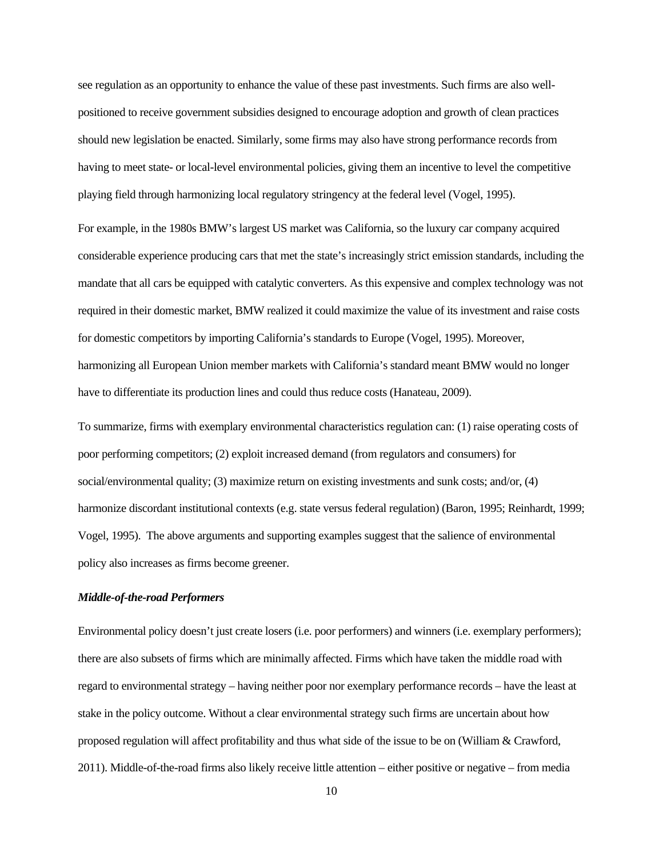see regulation as an opportunity to enhance the value of these past investments. Such firms are also wellpositioned to receive government subsidies designed to encourage adoption and growth of clean practices should new legislation be enacted. Similarly, some firms may also have strong performance records from having to meet state- or local-level environmental policies, giving them an incentive to level the competitive playing field through harmonizing local regulatory stringency at the federal level (Vogel, 1995).

For example, in the 1980s BMW's largest US market was California, so the luxury car company acquired considerable experience producing cars that met the state's increasingly strict emission standards, including the mandate that all cars be equipped with catalytic converters. As this expensive and complex technology was not required in their domestic market, BMW realized it could maximize the value of its investment and raise costs for domestic competitors by importing California's standards to Europe (Vogel, 1995). Moreover, harmonizing all European Union member markets with California's standard meant BMW would no longer have to differentiate its production lines and could thus reduce costs (Hanateau, 2009).

To summarize, firms with exemplary environmental characteristics regulation can: (1) raise operating costs of poor performing competitors; (2) exploit increased demand (from regulators and consumers) for social/environmental quality; (3) maximize return on existing investments and sunk costs; and/or, (4) harmonize discordant institutional contexts (e.g. state versus federal regulation) (Baron, 1995; Reinhardt, 1999; Vogel, 1995). The above arguments and supporting examples suggest that the salience of environmental policy also increases as firms become greener.

#### *Middle-of-the-road Performers*

Environmental policy doesn't just create losers (i.e. poor performers) and winners (i.e. exemplary performers); there are also subsets of firms which are minimally affected. Firms which have taken the middle road with regard to environmental strategy – having neither poor nor exemplary performance records – have the least at stake in the policy outcome. Without a clear environmental strategy such firms are uncertain about how proposed regulation will affect profitability and thus what side of the issue to be on (William & Crawford, 2011). Middle-of-the-road firms also likely receive little attention – either positive or negative – from media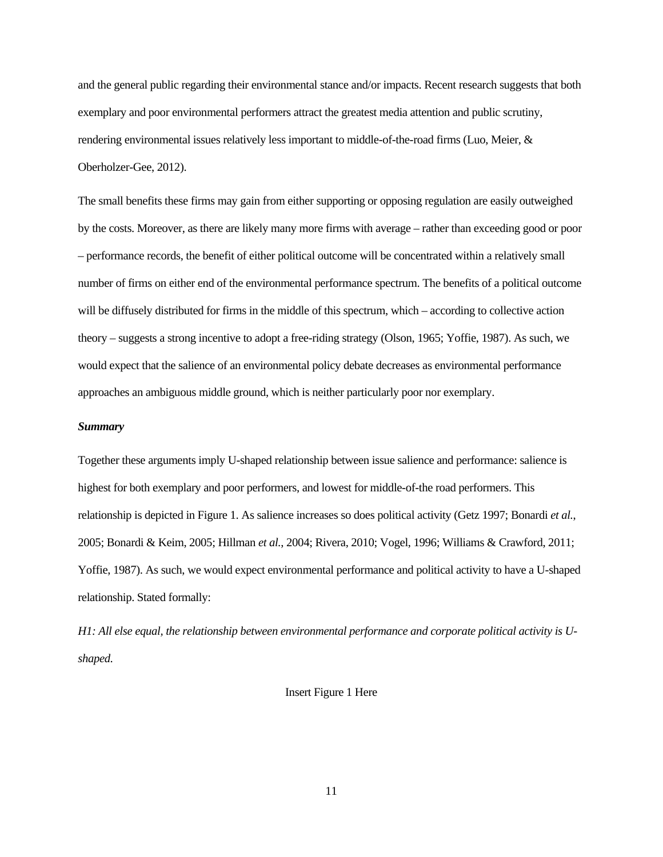and the general public regarding their environmental stance and/or impacts. Recent research suggests that both exemplary and poor environmental performers attract the greatest media attention and public scrutiny, rendering environmental issues relatively less important to middle-of-the-road firms (Luo, Meier, & Oberholzer-Gee, 2012).

The small benefits these firms may gain from either supporting or opposing regulation are easily outweighed by the costs. Moreover, as there are likely many more firms with average – rather than exceeding good or poor – performance records, the benefit of either political outcome will be concentrated within a relatively small number of firms on either end of the environmental performance spectrum. The benefits of a political outcome will be diffusely distributed for firms in the middle of this spectrum, which – according to collective action theory – suggests a strong incentive to adopt a free-riding strategy (Olson, 1965; Yoffie, 1987). As such, we would expect that the salience of an environmental policy debate decreases as environmental performance approaches an ambiguous middle ground, which is neither particularly poor nor exemplary.

#### *Summary*

Together these arguments imply U-shaped relationship between issue salience and performance: salience is highest for both exemplary and poor performers, and lowest for middle-of-the road performers. This relationship is depicted in Figure 1. As salience increases so does political activity (Getz 1997; Bonardi *et al.*, 2005; Bonardi & Keim, 2005; Hillman *et al.*, 2004; Rivera, 2010; Vogel, 1996; Williams & Crawford, 2011; Yoffie, 1987). As such, we would expect environmental performance and political activity to have a U-shaped relationship. Stated formally:

*H1: All else equal, the relationship between environmental performance and corporate political activity is Ushaped.* 

#### Insert Figure 1 Here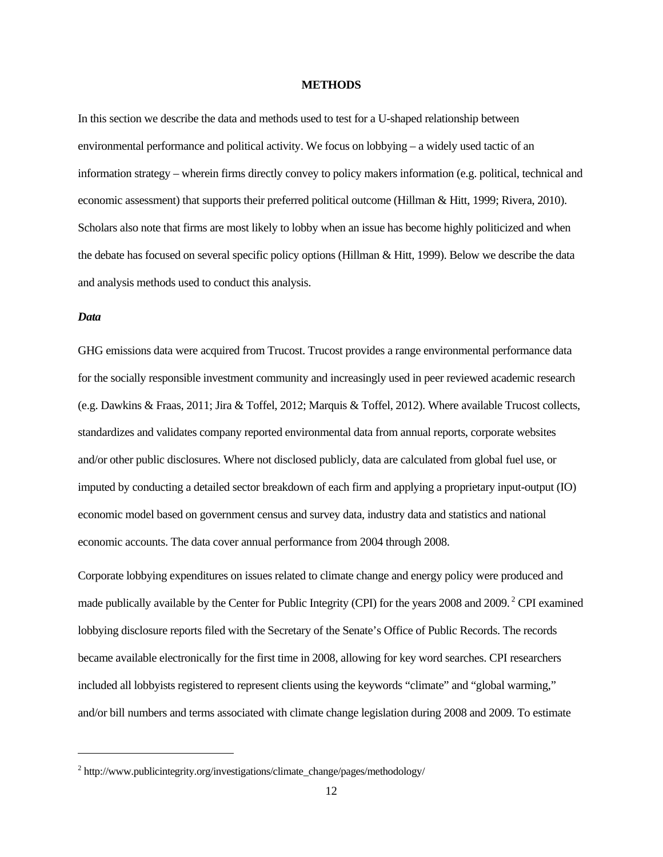#### **METHODS**

In this section we describe the data and methods used to test for a U-shaped relationship between environmental performance and political activity. We focus on lobbying – a widely used tactic of an information strategy – wherein firms directly convey to policy makers information (e.g. political, technical and economic assessment) that supports their preferred political outcome (Hillman & Hitt, 1999; Rivera, 2010). Scholars also note that firms are most likely to lobby when an issue has become highly politicized and when the debate has focused on several specific policy options (Hillman & Hitt, 1999). Below we describe the data and analysis methods used to conduct this analysis.

#### *Data*

1

GHG emissions data were acquired from Trucost. Trucost provides a range environmental performance data for the socially responsible investment community and increasingly used in peer reviewed academic research (e.g. Dawkins & Fraas, 2011; Jira & Toffel, 2012; Marquis & Toffel, 2012). Where available Trucost collects, standardizes and validates company reported environmental data from annual reports, corporate websites and/or other public disclosures. Where not disclosed publicly, data are calculated from global fuel use, or imputed by conducting a detailed sector breakdown of each firm and applying a proprietary input-output (IO) economic model based on government census and survey data, industry data and statistics and national economic accounts. The data cover annual performance from 2004 through 2008.

Corporate lobbying expenditures on issues related to climate change and energy policy were produced and made publically available by the Center for Public Integrity (CPI) for the years 2008 and 2009. 2 CPI examined lobbying disclosure reports filed with the Secretary of the Senate's Office of Public Records. The records became available electronically for the first time in 2008, allowing for key word searches. CPI researchers included all lobbyists registered to represent clients using the keywords "climate" and "global warming," and/or bill numbers and terms associated with climate change legislation during 2008 and 2009. To estimate

<sup>&</sup>lt;sup>2</sup> http://www.publicintegrity.org/investigations/climate\_change/pages/methodology/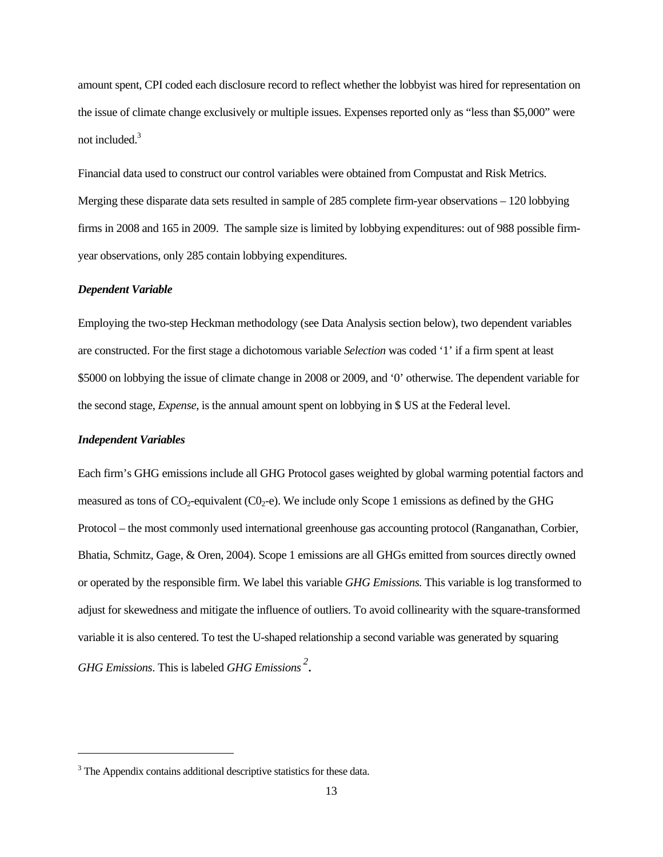amount spent, CPI coded each disclosure record to reflect whether the lobbyist was hired for representation on the issue of climate change exclusively or multiple issues. Expenses reported only as "less than \$5,000" were not included.<sup>3</sup>

Financial data used to construct our control variables were obtained from Compustat and Risk Metrics. Merging these disparate data sets resulted in sample of 285 complete firm-year observations – 120 lobbying firms in 2008 and 165 in 2009. The sample size is limited by lobbying expenditures: out of 988 possible firmyear observations, only 285 contain lobbying expenditures.

#### *Dependent Variable*

Employing the two-step Heckman methodology (see Data Analysis section below), two dependent variables are constructed. For the first stage a dichotomous variable *Selection* was coded '1' if a firm spent at least \$5000 on lobbying the issue of climate change in 2008 or 2009, and '0' otherwise. The dependent variable for the second stage, *Expense*, is the annual amount spent on lobbying in \$ US at the Federal level.

#### *Independent Variables*

l

Each firm's GHG emissions include all GHG Protocol gases weighted by global warming potential factors and measured as tons of  $CO_2$ -equivalent ( $CO_2$ -e). We include only Scope 1 emissions as defined by the GHG Protocol – the most commonly used international greenhouse gas accounting protocol (Ranganathan, Corbier, Bhatia, Schmitz, Gage, & Oren, 2004). Scope 1 emissions are all GHGs emitted from sources directly owned or operated by the responsible firm. We label this variable *GHG Emissions.* This variable is log transformed to adjust for skewedness and mitigate the influence of outliers. To avoid collinearity with the square-transformed variable it is also centered. To test the U-shaped relationship a second variable was generated by squaring *GHG Emissions*. This is labeled *GHG Emissions 2* .

<sup>&</sup>lt;sup>3</sup> The Appendix contains additional descriptive statistics for these data.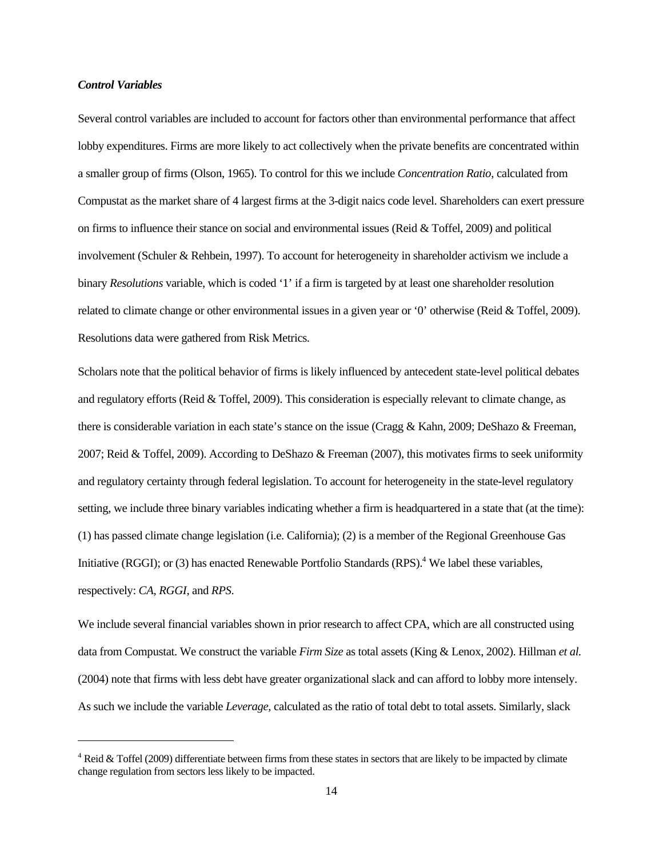#### *Control Variables*

 $\overline{\phantom{a}}$ 

Several control variables are included to account for factors other than environmental performance that affect lobby expenditures. Firms are more likely to act collectively when the private benefits are concentrated within a smaller group of firms (Olson, 1965). To control for this we include *Concentration Ratio*, calculated from Compustat as the market share of 4 largest firms at the 3-digit naics code level. Shareholders can exert pressure on firms to influence their stance on social and environmental issues (Reid  $&$  Toffel, 2009) and political involvement (Schuler & Rehbein, 1997). To account for heterogeneity in shareholder activism we include a binary *Resolutions* variable, which is coded '1' if a firm is targeted by at least one shareholder resolution related to climate change or other environmental issues in a given year or '0' otherwise (Reid & Toffel, 2009). Resolutions data were gathered from Risk Metrics.

Scholars note that the political behavior of firms is likely influenced by antecedent state-level political debates and regulatory efforts (Reid & Toffel, 2009). This consideration is especially relevant to climate change, as there is considerable variation in each state's stance on the issue (Cragg & Kahn, 2009; DeShazo & Freeman, 2007; Reid & Toffel, 2009). According to DeShazo & Freeman (2007), this motivates firms to seek uniformity and regulatory certainty through federal legislation. To account for heterogeneity in the state-level regulatory setting, we include three binary variables indicating whether a firm is headquartered in a state that (at the time): (1) has passed climate change legislation (i.e. California); (2) is a member of the Regional Greenhouse Gas Initiative (RGGI); or (3) has enacted Renewable Portfolio Standards (RPS).<sup>4</sup> We label these variables, respectively: *CA*, *RGGI*, and *RPS*.

We include several financial variables shown in prior research to affect CPA, which are all constructed using data from Compustat. We construct the variable *Firm Size* as total assets (King & Lenox, 2002). Hillman *et al.* (2004) note that firms with less debt have greater organizational slack and can afford to lobby more intensely. As such we include the variable *Leverage*, calculated as the ratio of total debt to total assets. Similarly, slack

 $4$  Reid & Toffel (2009) differentiate between firms from these states in sectors that are likely to be impacted by climate change regulation from sectors less likely to be impacted.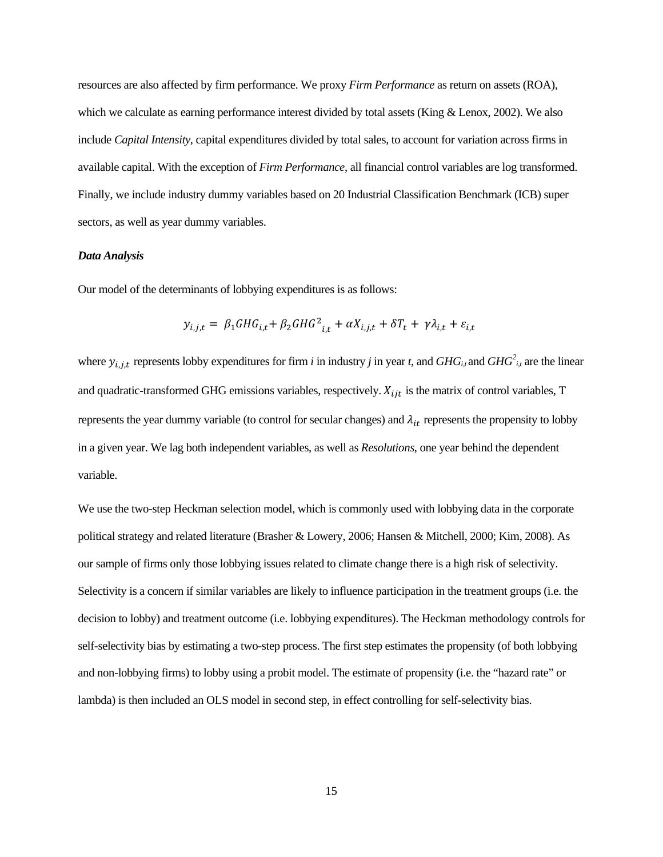resources are also affected by firm performance. We proxy *Firm Performance* as return on assets (ROA), which we calculate as earning performance interest divided by total assets (King & Lenox, 2002). We also include *Capital Intensity*, capital expenditures divided by total sales, to account for variation across firms in available capital. With the exception of *Firm Performance*, all financial control variables are log transformed. Finally, we include industry dummy variables based on 20 Industrial Classification Benchmark (ICB) super sectors, as well as year dummy variables.

#### *Data Analysis*

Our model of the determinants of lobbying expenditures is as follows:

$$
y_{i,j,t} = \beta_1 GHG_{i,t} + \beta_2 GHG_{i,t}^2 + \alpha X_{i,j,t} + \delta T_t + \gamma \lambda_{i,t} + \varepsilon_{i,t}
$$

where  $y_{i,j,t}$  represents lobby expenditures for firm *i* in industry *j* in year *t*, and  $GHG_{i,t}$  and  $GHG_{i,t}^2$  are the linear and quadratic-transformed GHG emissions variables, respectively.  $X_{ijt}$  is the matrix of control variables, T represents the year dummy variable (to control for secular changes) and  $\lambda_{it}$  represents the propensity to lobby in a given year. We lag both independent variables, as well as *Resolutions*, one year behind the dependent variable.

We use the two-step Heckman selection model, which is commonly used with lobbying data in the corporate political strategy and related literature (Brasher & Lowery, 2006; Hansen & Mitchell, 2000; Kim, 2008). As our sample of firms only those lobbying issues related to climate change there is a high risk of selectivity. Selectivity is a concern if similar variables are likely to influence participation in the treatment groups (i.e. the decision to lobby) and treatment outcome (i.e. lobbying expenditures). The Heckman methodology controls for self-selectivity bias by estimating a two-step process. The first step estimates the propensity (of both lobbying and non-lobbying firms) to lobby using a probit model. The estimate of propensity (i.e. the "hazard rate" or lambda) is then included an OLS model in second step, in effect controlling for self-selectivity bias.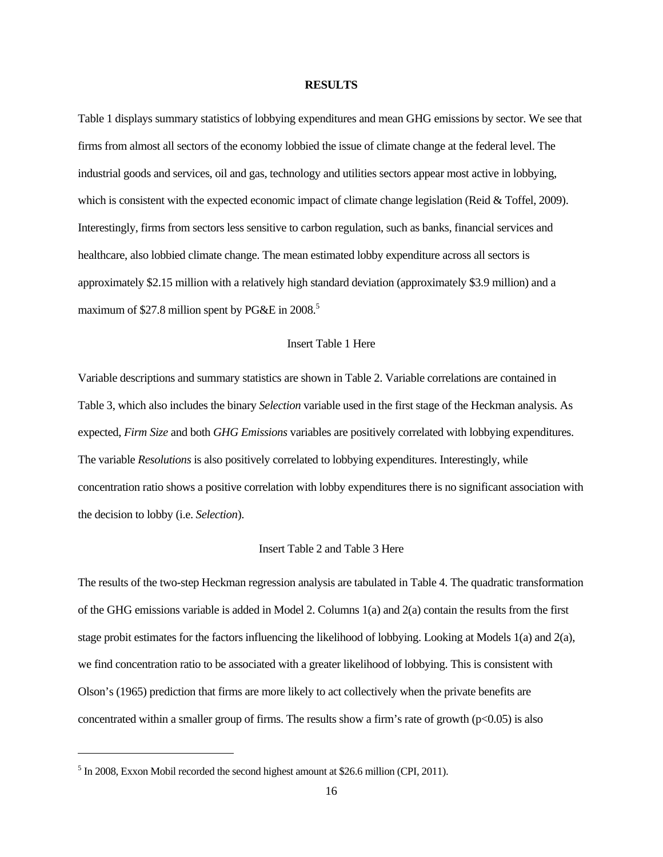#### **RESULTS**

Table 1 displays summary statistics of lobbying expenditures and mean GHG emissions by sector. We see that firms from almost all sectors of the economy lobbied the issue of climate change at the federal level. The industrial goods and services, oil and gas, technology and utilities sectors appear most active in lobbying, which is consistent with the expected economic impact of climate change legislation (Reid & Toffel, 2009). Interestingly, firms from sectors less sensitive to carbon regulation, such as banks, financial services and healthcare, also lobbied climate change. The mean estimated lobby expenditure across all sectors is approximately \$2.15 million with a relatively high standard deviation (approximately \$3.9 million) and a maximum of \$27.8 million spent by PG&E in 2008.<sup>5</sup>

#### Insert Table 1 Here

Variable descriptions and summary statistics are shown in Table 2. Variable correlations are contained in Table 3, which also includes the binary *Selection* variable used in the first stage of the Heckman analysis. As expected, *Firm Size* and both *GHG Emissions* variables are positively correlated with lobbying expenditures. The variable *Resolutions* is also positively correlated to lobbying expenditures. Interestingly, while concentration ratio shows a positive correlation with lobby expenditures there is no significant association with the decision to lobby (i.e. *Selection*).

#### Insert Table 2 and Table 3 Here

The results of the two-step Heckman regression analysis are tabulated in Table 4. The quadratic transformation of the GHG emissions variable is added in Model 2. Columns 1(a) and 2(a) contain the results from the first stage probit estimates for the factors influencing the likelihood of lobbying. Looking at Models 1(a) and 2(a), we find concentration ratio to be associated with a greater likelihood of lobbying. This is consistent with Olson's (1965) prediction that firms are more likely to act collectively when the private benefits are concentrated within a smaller group of firms. The results show a firm's rate of growth  $(p<0.05)$  is also

l

<sup>&</sup>lt;sup>5</sup> In 2008, Exxon Mobil recorded the second highest amount at \$26.6 million (CPI, 2011).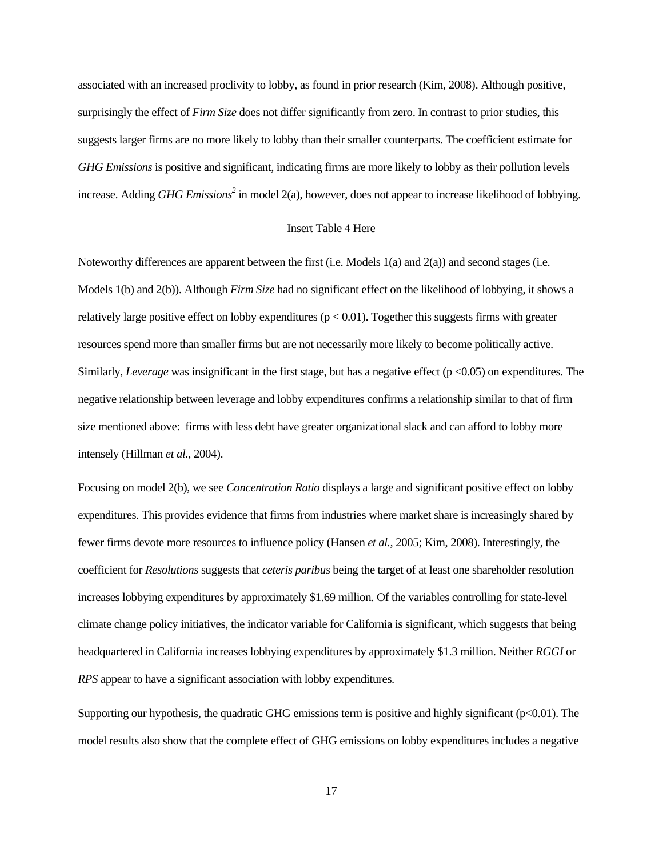associated with an increased proclivity to lobby, as found in prior research (Kim, 2008). Although positive, surprisingly the effect of *Firm Size* does not differ significantly from zero. In contrast to prior studies, this suggests larger firms are no more likely to lobby than their smaller counterparts. The coefficient estimate for *GHG Emissions* is positive and significant, indicating firms are more likely to lobby as their pollution levels increase. Adding *GHG Emissions*<sup>2</sup> in model 2(a), however, does not appear to increase likelihood of lobbying.

#### Insert Table 4 Here

Noteworthy differences are apparent between the first (i.e. Models 1(a) and 2(a)) and second stages (i.e. Models 1(b) and 2(b)). Although *Firm Size* had no significant effect on the likelihood of lobbying, it shows a relatively large positive effect on lobby expenditures ( $p < 0.01$ ). Together this suggests firms with greater resources spend more than smaller firms but are not necessarily more likely to become politically active. Similarly, *Leverage* was insignificant in the first stage, but has a negative effect (p <0.05) on expenditures. The negative relationship between leverage and lobby expenditures confirms a relationship similar to that of firm size mentioned above: firms with less debt have greater organizational slack and can afford to lobby more intensely (Hillman *et al.,* 2004).

Focusing on model 2(b), we see *Concentration Ratio* displays a large and significant positive effect on lobby expenditures. This provides evidence that firms from industries where market share is increasingly shared by fewer firms devote more resources to influence policy (Hansen *et al.,* 2005; Kim, 2008). Interestingly, the coefficient for *Resolutions* suggests that *ceteris paribus* being the target of at least one shareholder resolution increases lobbying expenditures by approximately \$1.69 million. Of the variables controlling for state-level climate change policy initiatives, the indicator variable for California is significant, which suggests that being headquartered in California increases lobbying expenditures by approximately \$1.3 million. Neither *RGGI* or *RPS* appear to have a significant association with lobby expenditures.

Supporting our hypothesis, the quadratic GHG emissions term is positive and highly significant (p<0.01). The model results also show that the complete effect of GHG emissions on lobby expenditures includes a negative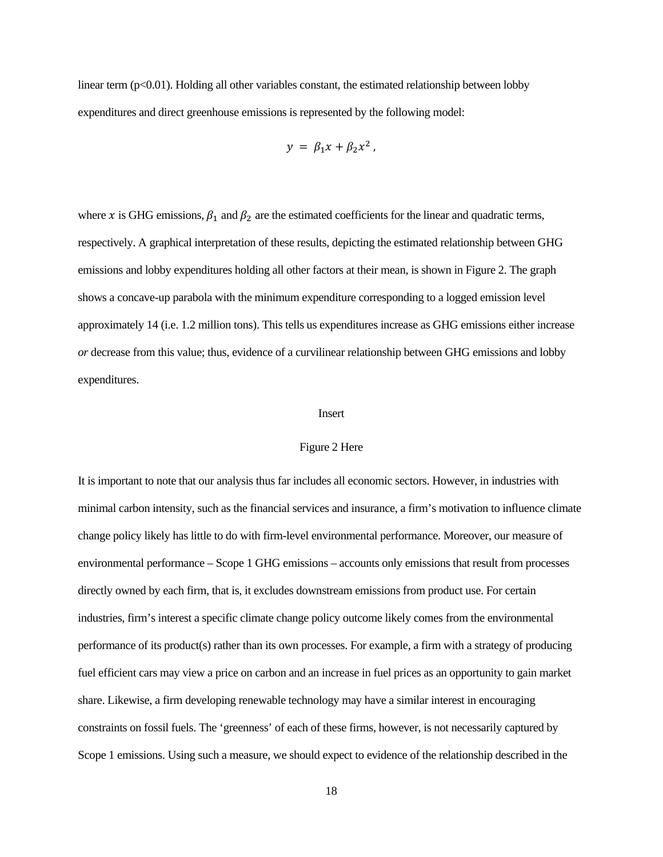linear term  $(p<0.01)$ . Holding all other variables constant, the estimated relationship between lobby expenditures and direct greenhouse emissions is represented by the following model:

$$
y = \beta_1 x + \beta_2 x^2,
$$

where x is GHG emissions,  $\beta_1$  and  $\beta_2$  are the estimated coefficients for the linear and quadratic terms, respectively. A graphical interpretation of these results, depicting the estimated relationship between GHG emissions and lobby expenditures holding all other factors at their mean, is shown in Figure 2. The graph shows a concave-up parabola with the minimum expenditure corresponding to a logged emission level approximately 14 (i.e. 1.2 million tons). This tells us expenditures increase as GHG emissions either increase *or* decrease from this value; thus, evidence of a curvilinear relationship between GHG emissions and lobby expenditures.

#### Insert

#### Figure 2 Here

It is important to note that our analysis thus far includes all economic sectors. However, in industries with minimal carbon intensity, such as the financial services and insurance, a firm's motivation to influence climate change policy likely has little to do with firm-level environmental performance. Moreover, our measure of environmental performance – Scope 1 GHG emissions – accounts only emissions that result from processes directly owned by each firm, that is, it excludes downstream emissions from product use. For certain industries, firm's interest a specific climate change policy outcome likely comes from the environmental performance of its product(s) rather than its own processes. For example, a firm with a strategy of producing fuel efficient cars may view a price on carbon and an increase in fuel prices as an opportunity to gain market share. Likewise, a firm developing renewable technology may have a similar interest in encouraging constraints on fossil fuels. The 'greenness' of each of these firms, however, is not necessarily captured by Scope 1 emissions. Using such a measure, we should expect to evidence of the relationship described in the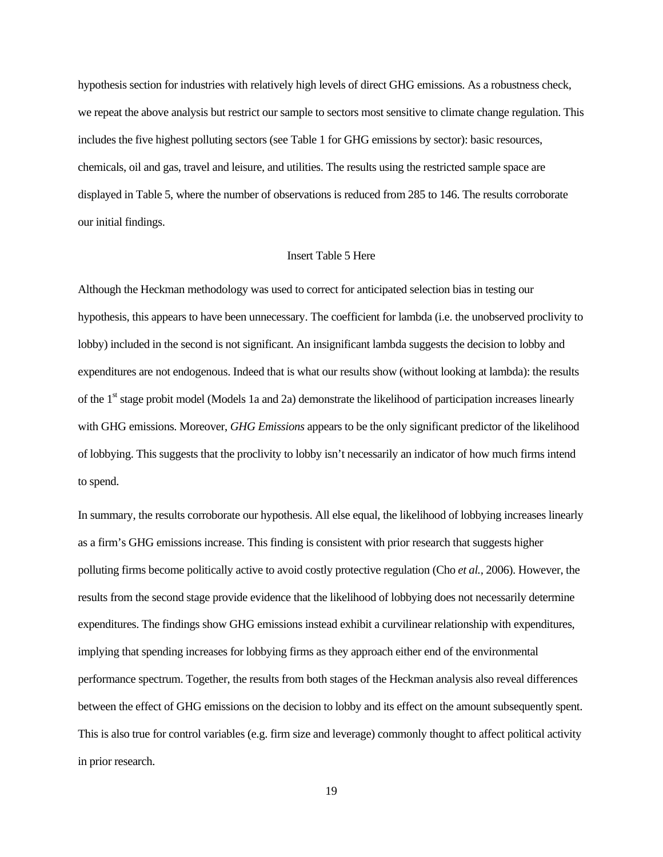hypothesis section for industries with relatively high levels of direct GHG emissions. As a robustness check, we repeat the above analysis but restrict our sample to sectors most sensitive to climate change regulation. This includes the five highest polluting sectors (see Table 1 for GHG emissions by sector): basic resources, chemicals, oil and gas, travel and leisure, and utilities. The results using the restricted sample space are displayed in Table 5, where the number of observations is reduced from 285 to 146. The results corroborate our initial findings.

### Insert Table 5 Here

Although the Heckman methodology was used to correct for anticipated selection bias in testing our hypothesis, this appears to have been unnecessary. The coefficient for lambda (i.e. the unobserved proclivity to lobby) included in the second is not significant. An insignificant lambda suggests the decision to lobby and expenditures are not endogenous. Indeed that is what our results show (without looking at lambda): the results of the 1<sup>st</sup> stage probit model (Models 1a and 2a) demonstrate the likelihood of participation increases linearly with GHG emissions. Moreover, *GHG Emissions* appears to be the only significant predictor of the likelihood of lobbying. This suggests that the proclivity to lobby isn't necessarily an indicator of how much firms intend to spend.

In summary, the results corroborate our hypothesis. All else equal, the likelihood of lobbying increases linearly as a firm's GHG emissions increase. This finding is consistent with prior research that suggests higher polluting firms become politically active to avoid costly protective regulation (Cho *et al.,* 2006). However, the results from the second stage provide evidence that the likelihood of lobbying does not necessarily determine expenditures. The findings show GHG emissions instead exhibit a curvilinear relationship with expenditures, implying that spending increases for lobbying firms as they approach either end of the environmental performance spectrum. Together, the results from both stages of the Heckman analysis also reveal differences between the effect of GHG emissions on the decision to lobby and its effect on the amount subsequently spent. This is also true for control variables (e.g. firm size and leverage) commonly thought to affect political activity in prior research.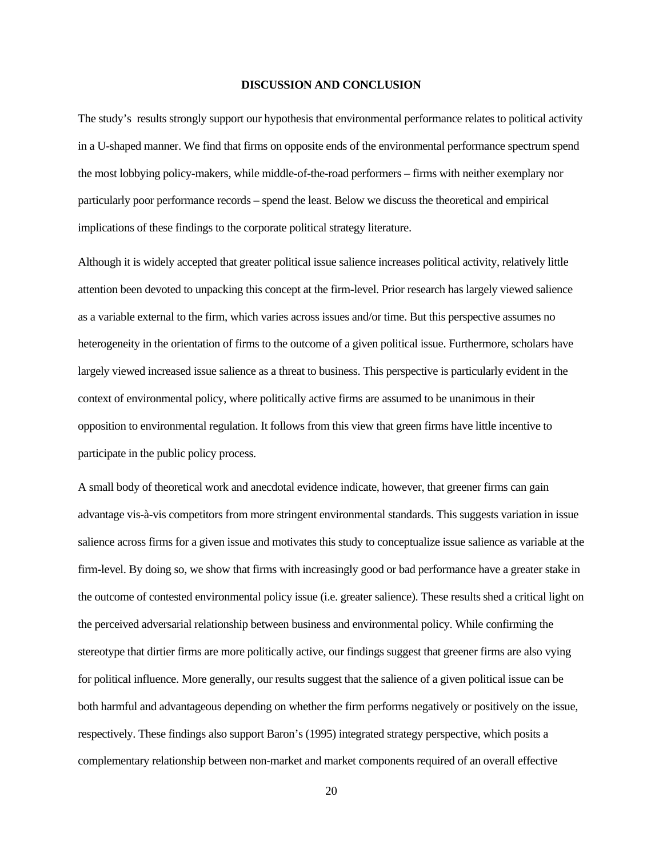#### **DISCUSSION AND CONCLUSION**

The study's results strongly support our hypothesis that environmental performance relates to political activity in a U-shaped manner. We find that firms on opposite ends of the environmental performance spectrum spend the most lobbying policy-makers, while middle-of-the-road performers – firms with neither exemplary nor particularly poor performance records – spend the least. Below we discuss the theoretical and empirical implications of these findings to the corporate political strategy literature.

Although it is widely accepted that greater political issue salience increases political activity, relatively little attention been devoted to unpacking this concept at the firm-level. Prior research has largely viewed salience as a variable external to the firm, which varies across issues and/or time. But this perspective assumes no heterogeneity in the orientation of firms to the outcome of a given political issue. Furthermore, scholars have largely viewed increased issue salience as a threat to business. This perspective is particularly evident in the context of environmental policy, where politically active firms are assumed to be unanimous in their opposition to environmental regulation. It follows from this view that green firms have little incentive to participate in the public policy process.

A small body of theoretical work and anecdotal evidence indicate, however, that greener firms can gain advantage vis-à-vis competitors from more stringent environmental standards. This suggests variation in issue salience across firms for a given issue and motivates this study to conceptualize issue salience as variable at the firm-level. By doing so, we show that firms with increasingly good or bad performance have a greater stake in the outcome of contested environmental policy issue (i.e. greater salience). These results shed a critical light on the perceived adversarial relationship between business and environmental policy. While confirming the stereotype that dirtier firms are more politically active, our findings suggest that greener firms are also vying for political influence. More generally, our results suggest that the salience of a given political issue can be both harmful and advantageous depending on whether the firm performs negatively or positively on the issue, respectively. These findings also support Baron's (1995) integrated strategy perspective, which posits a complementary relationship between non-market and market components required of an overall effective

20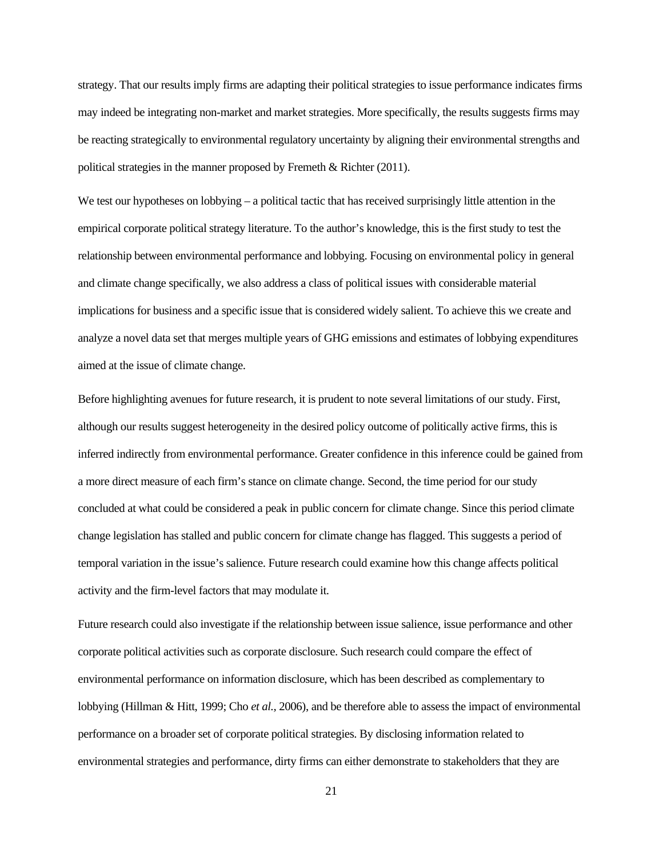strategy. That our results imply firms are adapting their political strategies to issue performance indicates firms may indeed be integrating non-market and market strategies. More specifically, the results suggests firms may be reacting strategically to environmental regulatory uncertainty by aligning their environmental strengths and political strategies in the manner proposed by Fremeth & Richter (2011).

We test our hypotheses on lobbying – a political tactic that has received surprisingly little attention in the empirical corporate political strategy literature. To the author's knowledge, this is the first study to test the relationship between environmental performance and lobbying. Focusing on environmental policy in general and climate change specifically, we also address a class of political issues with considerable material implications for business and a specific issue that is considered widely salient. To achieve this we create and analyze a novel data set that merges multiple years of GHG emissions and estimates of lobbying expenditures aimed at the issue of climate change.

Before highlighting avenues for future research, it is prudent to note several limitations of our study. First, although our results suggest heterogeneity in the desired policy outcome of politically active firms, this is inferred indirectly from environmental performance. Greater confidence in this inference could be gained from a more direct measure of each firm's stance on climate change. Second, the time period for our study concluded at what could be considered a peak in public concern for climate change. Since this period climate change legislation has stalled and public concern for climate change has flagged. This suggests a period of temporal variation in the issue's salience. Future research could examine how this change affects political activity and the firm-level factors that may modulate it.

Future research could also investigate if the relationship between issue salience, issue performance and other corporate political activities such as corporate disclosure. Such research could compare the effect of environmental performance on information disclosure, which has been described as complementary to lobbying (Hillman & Hitt, 1999; Cho *et al.,* 2006), and be therefore able to assess the impact of environmental performance on a broader set of corporate political strategies. By disclosing information related to environmental strategies and performance, dirty firms can either demonstrate to stakeholders that they are

21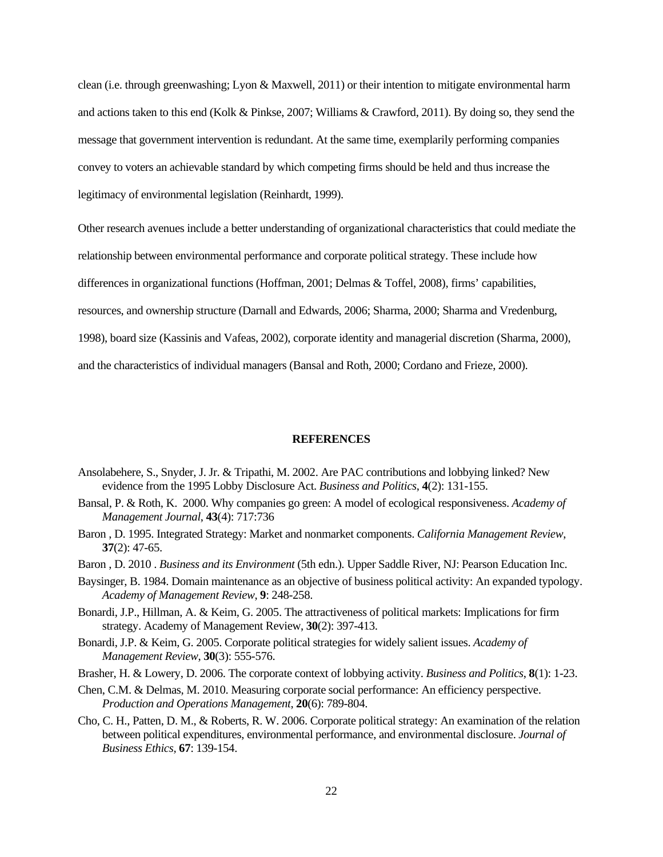clean (i.e. through greenwashing; Lyon & Maxwell, 2011) or their intention to mitigate environmental harm and actions taken to this end (Kolk & Pinkse, 2007; Williams & Crawford, 2011). By doing so, they send the message that government intervention is redundant. At the same time, exemplarily performing companies convey to voters an achievable standard by which competing firms should be held and thus increase the legitimacy of environmental legislation (Reinhardt, 1999).

Other research avenues include a better understanding of organizational characteristics that could mediate the relationship between environmental performance and corporate political strategy. These include how differences in organizational functions (Hoffman, 2001; Delmas & Toffel, 2008), firms' capabilities, resources, and ownership structure (Darnall and Edwards, 2006; Sharma, 2000; Sharma and Vredenburg, 1998), board size (Kassinis and Vafeas, 2002), corporate identity and managerial discretion (Sharma, 2000),

and the characteristics of individual managers (Bansal and Roth, 2000; Cordano and Frieze, 2000).

#### **REFERENCES**

- Ansolabehere, S., Snyder, J. Jr. & Tripathi, M. 2002. Are PAC contributions and lobbying linked? New evidence from the 1995 Lobby Disclosure Act. *Business and Politics*, **4**(2): 131-155.
- Bansal, P. & Roth, K. 2000. Why companies go green: A model of ecological responsiveness. *Academy of Management Journal*, **43**(4): 717:736
- Baron , D. 1995. Integrated Strategy: Market and nonmarket components. *California Management Review*, **37**(2): 47-65.
- Baron , D. 2010 . *Business and its Environment* (5th edn.). Upper Saddle River, NJ: Pearson Education Inc.
- Baysinger, B. 1984. Domain maintenance as an objective of business political activity: An expanded typology. *Academy of Management Review*, **9**: 248-258.
- Bonardi, J.P., Hillman, A. & Keim, G. 2005. The attractiveness of political markets: Implications for firm strategy. Academy of Management Review, **30**(2): 397-413.
- Bonardi, J.P. & Keim, G. 2005. Corporate political strategies for widely salient issues. *Academy of Management Review*, **30**(3): 555-576.
- Brasher, H. & Lowery, D. 2006. The corporate context of lobbying activity. *Business and Politics*, **8**(1): 1-23.
- Chen, C.M. & Delmas, M. 2010. Measuring corporate social performance: An efficiency perspective. *Production and Operations Management*, **20**(6): 789-804.
- Cho, C. H., Patten, D. M., & Roberts, R. W. 2006. Corporate political strategy: An examination of the relation between political expenditures, environmental performance, and environmental disclosure. *Journal of Business Ethics,* **67**: 139-154.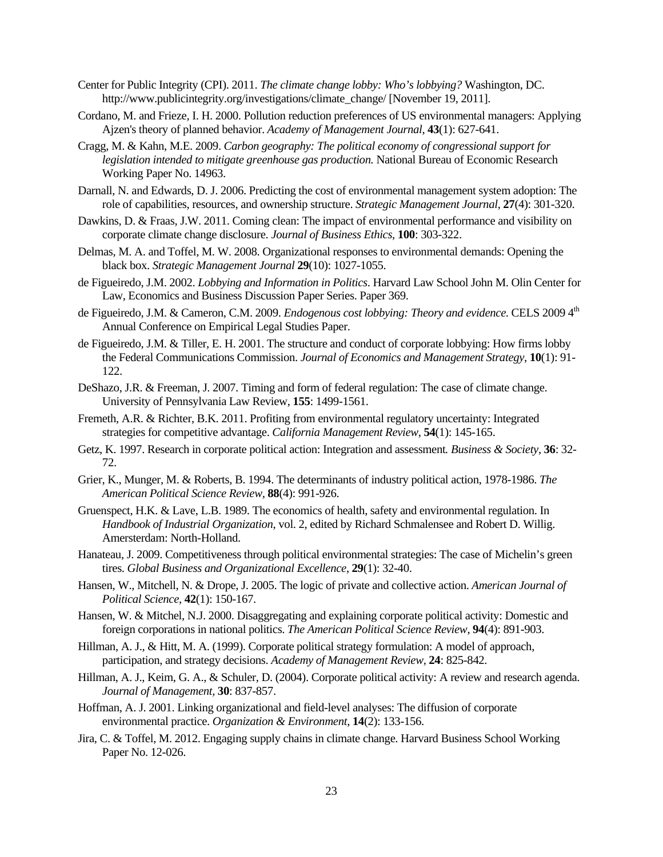- Center for Public Integrity (CPI). 2011. *The climate change lobby: Who's lobbying?* Washington, DC. http://www.publicintegrity.org/investigations/climate\_change/ [November 19, 2011].
- Cordano, M. and Frieze, I. H. 2000. Pollution reduction preferences of US environmental managers: Applying Ajzen's theory of planned behavior. *Academy of Management Journal*, **43**(1): 627-641.
- Cragg, M. & Kahn, M.E. 2009. *Carbon geography: The political economy of congressional support for legislation intended to mitigate greenhouse gas production.* National Bureau of Economic Research Working Paper No. 14963.
- Darnall, N. and Edwards, D. J. 2006. Predicting the cost of environmental management system adoption: The role of capabilities, resources, and ownership structure. *Strategic Management Journal*, **27**(4): 301-320.
- Dawkins, D. & Fraas, J.W. 2011. Coming clean: The impact of environmental performance and visibility on corporate climate change disclosure. *Journal of Business Ethics*, **100**: 303-322.
- Delmas, M. A. and Toffel, M. W. 2008. Organizational responses to environmental demands: Opening the black box. *Strategic Management Journal* **29**(10): 1027-1055.
- de Figueiredo, J.M. 2002. *Lobbying and Information in Politics*. Harvard Law School John M. Olin Center for Law, Economics and Business Discussion Paper Series. Paper 369.
- de Figueiredo, J.M. & Cameron, C.M. 2009. *Endogenous cost lobbying: Theory and evidence*. CELS 2009 4<sup>th</sup> Annual Conference on Empirical Legal Studies Paper.
- de Figueiredo, J.M. & Tiller, E. H. 2001. The structure and conduct of corporate lobbying: How firms lobby the Federal Communications Commission. *Journal of Economics and Management Strategy*, **10**(1): 91- 122.
- DeShazo, J.R. & Freeman, J. 2007. Timing and form of federal regulation: The case of climate change. University of Pennsylvania Law Review, **155**: 1499-1561.
- Fremeth, A.R. & Richter, B.K. 2011. Profiting from environmental regulatory uncertainty: Integrated strategies for competitive advantage. *California Management Review*, **54**(1): 145-165.
- Getz, K. 1997. Research in corporate political action: Integration and assessment*. Business & Society*, **36**: 32- 72.
- Grier, K., Munger, M. & Roberts, B. 1994. The determinants of industry political action, 1978-1986. *The American Political Science Review,* **88**(4): 991-926.
- Gruenspect, H.K. & Lave, L.B. 1989. The economics of health, safety and environmental regulation. In *Handbook of Industrial Organization*, vol. 2, edited by Richard Schmalensee and Robert D. Willig. Amersterdam: North-Holland.
- Hanateau, J. 2009. Competitiveness through political environmental strategies: The case of Michelin's green tires. *Global Business and Organizational Excellence*, **29**(1): 32-40.
- Hansen, W., Mitchell, N. & Drope, J. 2005. The logic of private and collective action. *American Journal of Political Science*, **42**(1): 150-167.
- Hansen, W. & Mitchel, N.J. 2000. Disaggregating and explaining corporate political activity: Domestic and foreign corporations in national politics. *The American Political Science Review*, **94**(4): 891-903.
- Hillman, A. J., & Hitt, M. A. (1999). Corporate political strategy formulation: A model of approach, participation, and strategy decisions. *Academy of Management Review,* **24**: 825-842.
- Hillman, A. J., Keim, G. A., & Schuler, D. (2004). Corporate political activity: A review and research agenda. *Journal of Management,* **30**: 837-857.
- Hoffman, A. J. 2001. Linking organizational and field-level analyses: The diffusion of corporate environmental practice. *Organization & Environment*, **14**(2): 133-156.
- Jira, C. & Toffel, M. 2012. Engaging supply chains in climate change. Harvard Business School Working Paper No. 12-026.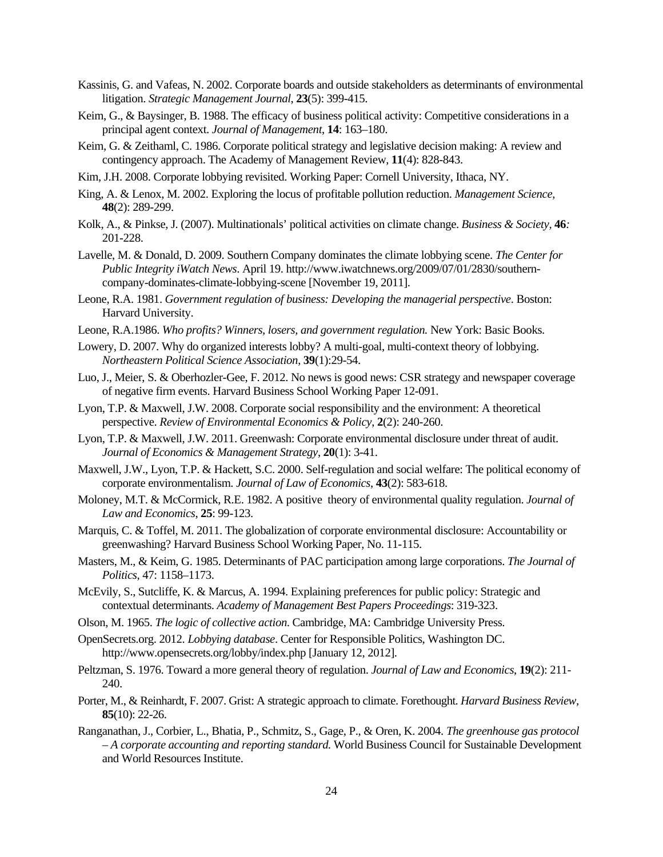- Kassinis, G. and Vafeas, N. 2002. Corporate boards and outside stakeholders as determinants of environmental litigation. *Strategic Management Journal*, **23**(5): 399-415.
- Keim, G., & Baysinger, B. 1988. The efficacy of business political activity: Competitive considerations in a principal agent context. *Journal of Management*, **14**: 163–180.
- Keim, G. & Zeithaml, C. 1986. Corporate political strategy and legislative decision making: A review and contingency approach. The Academy of Management Review, **11**(4): 828-843.
- Kim, J.H. 2008. Corporate lobbying revisited. Working Paper: Cornell University, Ithaca, NY.
- King, A. & Lenox, M. 2002. Exploring the locus of profitable pollution reduction. *Management Science*, **48**(2): 289-299.
- Kolk, A., & Pinkse, J. (2007). Multinationals' political activities on climate change. *Business & Society,* **46***:* 201-228.
- Lavelle, M. & Donald, D. 2009. Southern Company dominates the climate lobbying scene. *The Center for Public Integrity iWatch News*. April 19. http://www.iwatchnews.org/2009/07/01/2830/southerncompany-dominates-climate-lobbying-scene [November 19, 2011].
- Leone, R.A. 1981. *Government regulation of business: Developing the managerial perspective*. Boston: Harvard University.
- Leone, R.A.1986. *Who profits? Winners, losers, and government regulation.* New York: Basic Books.
- Lowery, D. 2007. Why do organized interests lobby? A multi-goal, multi-context theory of lobbying. *Northeastern Political Science Association*, **39**(1):29-54.
- Luo, J., Meier, S. & Oberhozler-Gee, F. 2012. No news is good news: CSR strategy and newspaper coverage of negative firm events. Harvard Business School Working Paper 12-091.
- Lyon, T.P. & Maxwell, J.W. 2008. Corporate social responsibility and the environment: A theoretical perspective. *Review of Environmental Economics & Policy*, **2**(2): 240-260.
- Lyon, T.P. & Maxwell, J.W. 2011. Greenwash: Corporate environmental disclosure under threat of audit. *Journal of Economics & Management Strategy*, **20**(1): 3-41.
- Maxwell, J.W., Lyon, T.P. & Hackett, S.C. 2000. Self-regulation and social welfare: The political economy of corporate environmentalism. *Journal of Law of Economics*, **43**(2): 583-618.
- Moloney, M.T. & McCormick, R.E. 1982. A positive theory of environmental quality regulation. *Journal of Law and Economics*, **25**: 99-123.
- Marquis, C. & Toffel, M. 2011. The globalization of corporate environmental disclosure: Accountability or greenwashing? Harvard Business School Working Paper, No. 11-115.
- Masters, M., & Keim, G. 1985. Determinants of PAC participation among large corporations. *The Journal of Politics*, 47: 1158–1173.
- McEvily, S., Sutcliffe, K. & Marcus, A. 1994. Explaining preferences for public policy: Strategic and contextual determinants. *Academy of Management Best Papers Proceedings*: 319-323.
- Olson, M. 1965. *The logic of collective action*. Cambridge, MA: Cambridge University Press.
- OpenSecrets.org. 2012. *Lobbying database*. Center for Responsible Politics, Washington DC. http://www.opensecrets.org/lobby/index.php [January 12, 2012].
- Peltzman, S. 1976. Toward a more general theory of regulation. *Journal of Law and Economics*, **19**(2): 211- 240.
- Porter, M., & Reinhardt, F. 2007. Grist: A strategic approach to climate. Forethought. *Harvard Business Review,* **85**(10): 22-26.
- Ranganathan, J., Corbier, L., Bhatia, P., Schmitz, S., Gage, P., & Oren, K. 2004. *The greenhouse gas protocol – A corporate accounting and reporting standard.* World Business Council for Sustainable Development and World Resources Institute.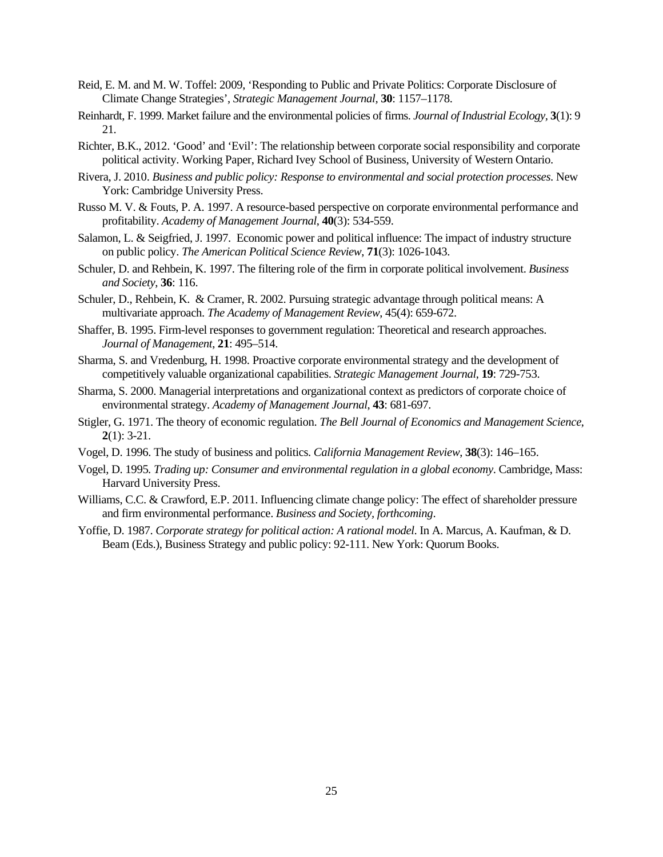- Reid, E. M. and M. W. Toffel: 2009, 'Responding to Public and Private Politics: Corporate Disclosure of Climate Change Strategies', *Strategic Management Journal,* **30**: 1157–1178.
- Reinhardt, F. 1999. Market failure and the environmental policies of firms. *Journal of Industrial Ecology,* **3**(1): 9 21.
- Richter, B.K., 2012. 'Good' and 'Evil': The relationship between corporate social responsibility and corporate political activity. Working Paper, Richard Ivey School of Business, University of Western Ontario.
- Rivera, J. 2010. *Business and public policy: Response to environmental and social protection processes*. New York: Cambridge University Press.
- Russo M. V. & Fouts, P. A. 1997. A resource-based perspective on corporate environmental performance and profitability. *Academy of Management Journal*, **40**(3): 534-559.
- Salamon, L. & Seigfried, J. 1997. Economic power and political influence: The impact of industry structure on public policy. *The American Political Science Review*, **71**(3): 1026-1043.
- Schuler, D. and Rehbein, K. 1997. The filtering role of the firm in corporate political involvement. *Business and Society*, **36**: 116.
- Schuler, D., Rehbein, K. & Cramer, R. 2002. Pursuing strategic advantage through political means: A multivariate approach. *The Academy of Management Review*, 45(4): 659-672.
- Shaffer, B. 1995. Firm-level responses to government regulation: Theoretical and research approaches. *Journal of Management*, **21**: 495–514.
- Sharma, S. and Vredenburg, H. 1998. Proactive corporate environmental strategy and the development of competitively valuable organizational capabilities. *Strategic Management Journal*, **19**: 729-753.
- Sharma, S. 2000. Managerial interpretations and organizational context as predictors of corporate choice of environmental strategy. *Academy of Management Journal*, **43**: 681-697.
- Stigler, G. 1971. The theory of economic regulation. *The Bell Journal of Economics and Management Science*, **2**(1): 3-21.
- Vogel, D. 1996. The study of business and politics. *California Management Review*, **38**(3): 146–165.
- Vogel, D. 1995*. Trading up: Consumer and environmental regulation in a global economy*. Cambridge, Mass: Harvard University Press.
- Williams, C.C. & Crawford, E.P. 2011. Influencing climate change policy: The effect of shareholder pressure and firm environmental performance. *Business and Society, forthcoming*.
- Yoffie, D. 1987. *Corporate strategy for political action: A rational model*. In A. Marcus, A. Kaufman, & D. Beam (Eds.), Business Strategy and public policy: 92-111. New York: Quorum Books.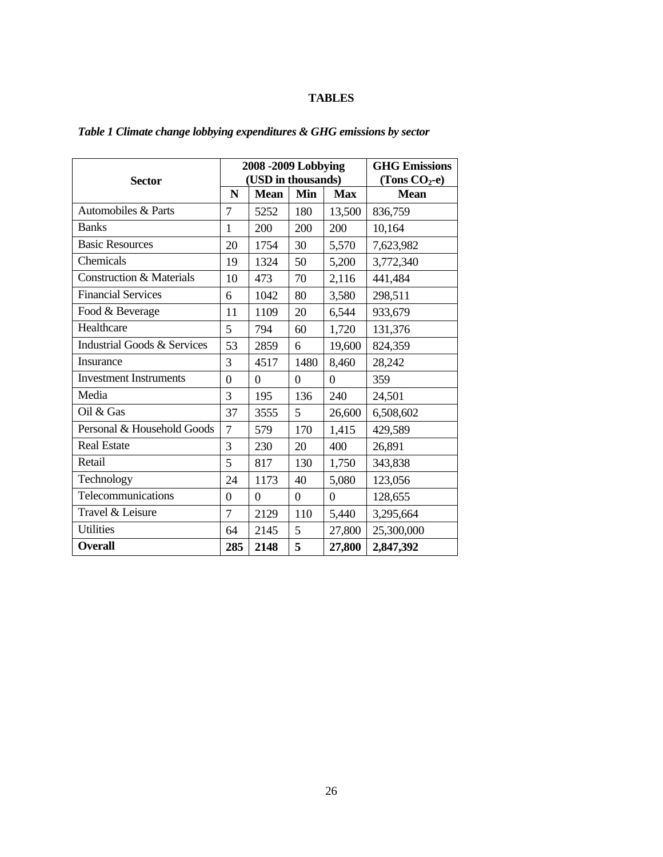# **TABLES**

|                                        |                | 2008 -2009 Lobbying | <b>GHG Emissions</b> |                  |             |
|----------------------------------------|----------------|---------------------|----------------------|------------------|-------------|
| <b>Sector</b>                          |                | (USD in thousands)  | (Tons $CO2$ -e)      |                  |             |
|                                        | N              | <b>Mean</b>         | Min                  | <b>Max</b>       | <b>Mean</b> |
| Automobiles & Parts                    | 7              | 5252                | 180                  | 13,500           | 836,759     |
| <b>Banks</b>                           | $\mathbf{1}$   | 200                 | 200                  | 200              | 10,164      |
| <b>Basic Resources</b>                 | 20             | 1754                | 30                   | 5,570            | 7,623,982   |
| Chemicals                              | 19             | 1324                | 50                   | 5,200            | 3,772,340   |
| <b>Construction &amp; Materials</b>    | 10             | 473                 | 70                   | 2,116            | 441,484     |
| <b>Financial Services</b>              | 6              | 1042                | 80                   | 3,580            | 298,511     |
| Food & Beverage                        | 11             | 1109                | 20                   | 6,544            | 933,679     |
| Healthcare                             | 5              | 794                 | 60                   | 1,720            | 131,376     |
| <b>Industrial Goods &amp; Services</b> | 53             | 2859                | 6                    | 19,600           | 824,359     |
| Insurance                              | 3              | 4517                | 1480                 | 8,460            | 28,242      |
| <b>Investment Instruments</b>          | $\overline{0}$ | $\theta$            | $\overline{0}$       | $\boldsymbol{0}$ | 359         |
| Media                                  | 3              | 195                 | 136                  | 240              | 24,501      |
| Oil & Gas                              | 37             | 3555                | 5                    | 26,600           | 6,508,602   |
| Personal & Household Goods             | 7              | 579                 | 170                  | 1,415            | 429,589     |
| <b>Real Estate</b>                     | 3              | 230                 | 20                   | 400              | 26,891      |
| Retail                                 | 5              | 817                 | 130                  | 1,750            | 343,838     |
| Technology                             | 24             | 1173                | 40                   | 5,080            | 123,056     |
| Telecommunications                     | $\overline{0}$ | $\theta$            | $\overline{0}$       | $\overline{0}$   | 128,655     |
| Travel & Leisure                       | 7              | 2129                | 110                  | 5,440            | 3,295,664   |
| <b>Utilities</b>                       | 64             | 2145                | 5                    | 27,800           | 25,300,000  |
| <b>Overall</b>                         | 285            | 2148                | 5                    | 27,800           | 2,847,392   |

# *Table 1 Climate change lobbying expenditures & GHG emissions by sector*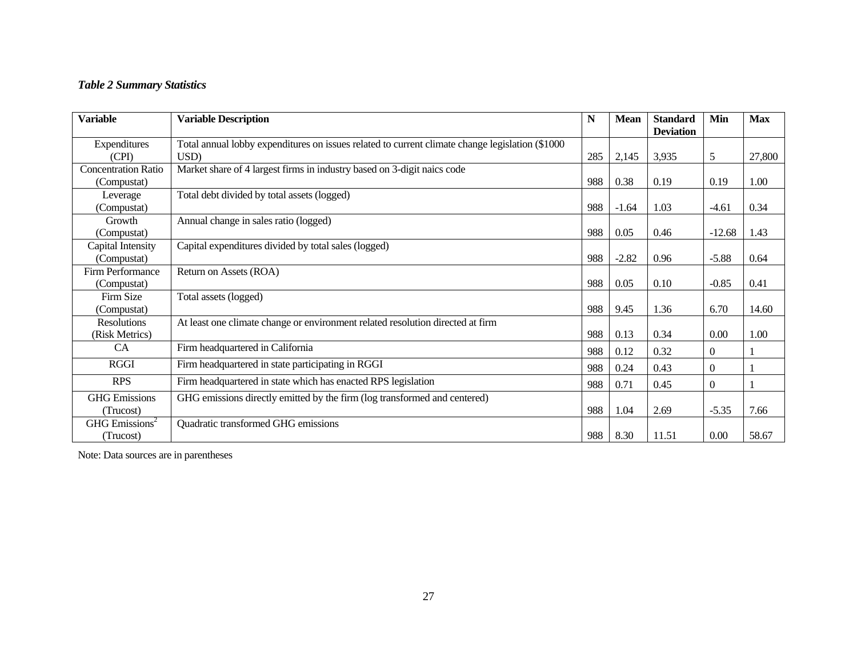# *Table 2 Summary Statistics*

| <b>Variable</b>              | <b>Variable Description</b>                                                                      | N   | <b>Mean</b> | <b>Standard</b><br><b>Deviation</b> | Min              | <b>Max</b> |
|------------------------------|--------------------------------------------------------------------------------------------------|-----|-------------|-------------------------------------|------------------|------------|
| Expenditures                 | Total annual lobby expenditures on issues related to current climate change legislation (\$1000) |     |             |                                     |                  |            |
| (CPI)                        | USD)                                                                                             | 285 | 2,145       | 3,935                               | 5                | 27,800     |
| <b>Concentration Ratio</b>   | Market share of 4 largest firms in industry based on 3-digit naics code                          |     |             |                                     |                  |            |
| (Compustat)                  |                                                                                                  | 988 | 0.38        | 0.19                                | 0.19             | 1.00       |
| Leverage                     | Total debt divided by total assets (logged)                                                      |     |             |                                     |                  |            |
| (Compustat)                  |                                                                                                  | 988 | $-1.64$     | 1.03                                | $-4.61$          | 0.34       |
| Growth                       | Annual change in sales ratio (logged)                                                            |     |             |                                     |                  |            |
| (Compustat)                  |                                                                                                  | 988 | 0.05        | 0.46                                | $-12.68$         | 1.43       |
| Capital Intensity            | Capital expenditures divided by total sales (logged)                                             |     |             |                                     |                  |            |
| (Compustat)                  |                                                                                                  | 988 | $-2.82$     | 0.96                                | $-5.88$          | 0.64       |
| Firm Performance             | Return on Assets (ROA)                                                                           |     |             |                                     |                  |            |
| (Compustat)                  |                                                                                                  | 988 | 0.05        | 0.10                                | $-0.85$          | 0.41       |
| Firm Size                    | Total assets (logged)                                                                            |     |             |                                     |                  |            |
| (Compustat)                  |                                                                                                  | 988 | 9.45        | 1.36                                | 6.70             | 14.60      |
| <b>Resolutions</b>           | At least one climate change or environment related resolution directed at firm                   |     |             |                                     |                  |            |
| (Risk Metrics)               |                                                                                                  | 988 | 0.13        | 0.34                                | 0.00             | 1.00       |
| CA                           | Firm headquartered in California                                                                 | 988 | 0.12        | 0.32                                | $\Omega$         |            |
| <b>RGGI</b>                  | Firm headquartered in state participating in RGGI                                                | 988 | 0.24        | 0.43                                | $\mathbf{0}$     |            |
| <b>RPS</b>                   | Firm headquartered in state which has enacted RPS legislation                                    | 988 | 0.71        | 0.45                                | $\boldsymbol{0}$ |            |
| <b>GHG</b> Emissions         | GHG emissions directly emitted by the firm (log transformed and centered)                        |     |             |                                     |                  |            |
| (Trucost)                    |                                                                                                  | 988 | 1.04        | 2.69                                | $-5.35$          | 7.66       |
| $GHG$ Emissions <sup>2</sup> | Quadratic transformed GHG emissions                                                              |     |             |                                     |                  |            |
| (Trucost)                    |                                                                                                  | 988 | 8.30        | 11.51                               | 0.00             | 58.67      |

Note: Data sources are in parentheses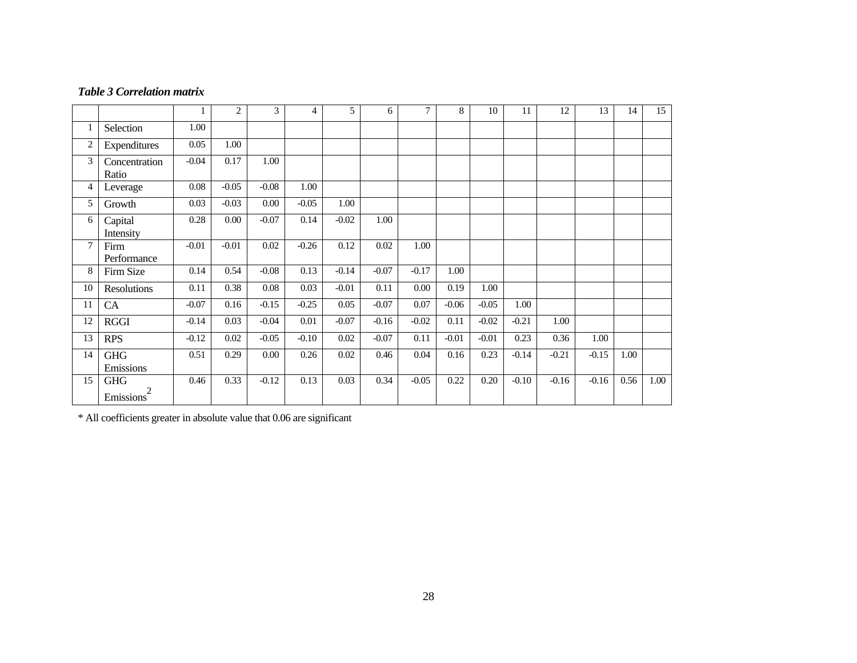#### *Table 3 Correlation matrix*

|                |                                           | 1       | $\overline{2}$ | 3        | 4       | 5       | 6       | $\tau$  | 8       | 10      | 11      | 12      | 13      | 14   | 15   |
|----------------|-------------------------------------------|---------|----------------|----------|---------|---------|---------|---------|---------|---------|---------|---------|---------|------|------|
| 1              | Selection                                 | 1.00    |                |          |         |         |         |         |         |         |         |         |         |      |      |
| $\overline{c}$ | Expenditures                              | 0.05    | 1.00           |          |         |         |         |         |         |         |         |         |         |      |      |
| 3              | Concentration<br>Ratio                    | $-0.04$ | 0.17           | 1.00     |         |         |         |         |         |         |         |         |         |      |      |
| 4              | Leverage                                  | 0.08    | $-0.05$        | $-0.08$  | 1.00    |         |         |         |         |         |         |         |         |      |      |
| 5              | Growth                                    | 0.03    | $-0.03$        | 0.00     | $-0.05$ | 1.00    |         |         |         |         |         |         |         |      |      |
| 6              | Capital<br>Intensity                      | 0.28    | 0.00           | $-0.07$  | 0.14    | $-0.02$ | 1.00    |         |         |         |         |         |         |      |      |
| 7              | Firm<br>Performance                       | $-0.01$ | $-0.01$        | $0.02\,$ | $-0.26$ | 0.12    | 0.02    | 1.00    |         |         |         |         |         |      |      |
| 8              | Firm Size                                 | 0.14    | 0.54           | $-0.08$  | 0.13    | $-0.14$ | $-0.07$ | $-0.17$ | 1.00    |         |         |         |         |      |      |
| 10             | Resolutions                               | 0.11    | 0.38           | 0.08     | 0.03    | $-0.01$ | 0.11    | 0.00    | 0.19    | 1.00    |         |         |         |      |      |
| 11             | CA                                        | $-0.07$ | 0.16           | $-0.15$  | $-0.25$ | 0.05    | $-0.07$ | 0.07    | $-0.06$ | $-0.05$ | 1.00    |         |         |      |      |
| 12             | <b>RGGI</b>                               | $-0.14$ | 0.03           | $-0.04$  | 0.01    | $-0.07$ | $-0.16$ | $-0.02$ | 0.11    | $-0.02$ | $-0.21$ | 1.00    |         |      |      |
| 13             | <b>RPS</b>                                | $-0.12$ | 0.02           | $-0.05$  | $-0.10$ | 0.02    | $-0.07$ | 0.11    | $-0.01$ | $-0.01$ | 0.23    | 0.36    | 1.00    |      |      |
| 14             | <b>GHG</b><br>Emissions                   | 0.51    | 0.29           | 0.00     | 0.26    | 0.02    | 0.46    | 0.04    | 0.16    | 0.23    | $-0.14$ | $-0.21$ | $-0.15$ | 1.00 |      |
| 15             | <b>GHG</b><br>2<br>Emissions <sup>7</sup> | 0.46    | 0.33           | $-0.12$  | 0.13    | 0.03    | 0.34    | $-0.05$ | 0.22    | 0.20    | $-0.10$ | $-0.16$ | $-0.16$ | 0.56 | 1.00 |

\* All coefficients greater in absolute value that 0.06 are significant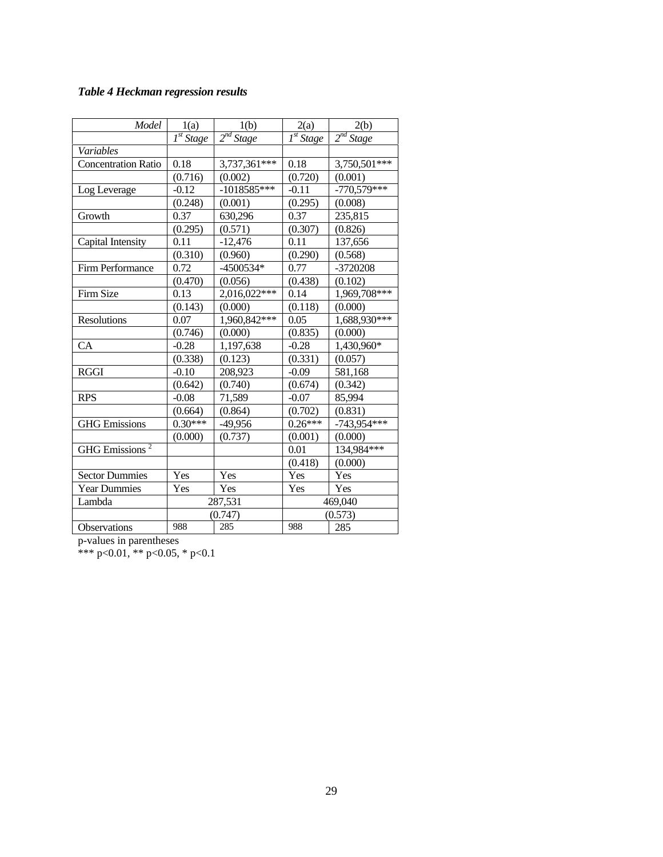# *Table 4 Heckman regression results*

| Model                      | 1(a)                      | 1(b)           | 2(a)                      | 2(b)           |
|----------------------------|---------------------------|----------------|---------------------------|----------------|
|                            | $\overline{I^{st}}$ Stage | $2^{nd}$ Stage | $\overline{I^{st}}$ Stage | $2^{nd}$ Stage |
| Variables                  |                           |                |                           |                |
| <b>Concentration Ratio</b> | 0.18                      | 3,737,361***   | 0.18                      | $3,750,501***$ |
|                            | (0.716)                   | (0.002)        | (0.720)                   | (0.001)        |
| Log Leverage               | $-0.12$                   | $-1018585***$  | $-0.11$                   | $-770,579$ *** |
|                            | (0.248)                   | (0.001)        | (0.295)                   | (0.008)        |
| Growth                     | 0.37                      | 630,296        | 0.37                      | 235,815        |
|                            | (0.295)                   | (0.571)        | (0.307)                   | (0.826)        |
| Capital Intensity          | 0.11                      | $-12,476$      | 0.11                      | 137,656        |
|                            | (0.310)                   | (0.960)        | (0.290)                   | (0.568)        |
| Firm Performance           | 0.72                      | -4500534*      | 0.77                      | -3720208       |
|                            | (0.470)                   | (0.056)        | (0.438)                   | (0.102)        |
| Firm Size                  | 0.13                      | $2,016,022***$ | 0.14                      | $1,969,708***$ |
|                            | (0.143)                   | (0.000)        | (0.118)                   | (0.000)        |
| Resolutions                | 0.07                      | $1,960,842***$ | 0.05                      | $1,688,930***$ |
|                            | (0.746)                   | (0.000)        | (0.835)                   | (0.000)        |
| CA                         | $-0.28$                   | 1,197,638      | $-0.28$                   | 1,430,960*     |
|                            | (0.338)                   | (0.123)        | (0.331)                   | (0.057)        |
| <b>RGGI</b>                | $-0.10$                   | 208,923        | $-0.09$                   | 581,168        |
|                            | (0.642)                   | (0.740)        | (0.674)                   | (0.342)        |
| <b>RPS</b>                 | $-0.08$                   | 71,589         | $-0.07$                   | 85,994         |
|                            | (0.664)                   | (0.864)        | (0.702)                   | (0.831)        |
| <b>GHG</b> Emissions       | $0.30***$                 | -49,956        | $0.26***$                 | $-743,954***$  |
|                            | (0.000)                   | (0.737)        | (0.001)                   | (0.000)        |
| <b>GHG</b> Emissions       |                           |                | 0.01                      | 134,984***     |
|                            |                           |                | (0.418)                   | (0.000)        |
| <b>Sector Dummies</b>      | Yes                       | Yes            | Yes                       | Yes            |
| <b>Year Dummies</b>        | Yes                       | Yes            | Yes                       | Yes            |
| Lambda                     |                           | 287,531        |                           | 469,040        |
|                            |                           | (0.747)        | (0.573)                   |                |
| <b>Observations</b>        | 988                       | 285            | 988                       | 285            |

p-values in parentheses

\*\*\* p<0.01, \*\* p<0.05, \* p<0.1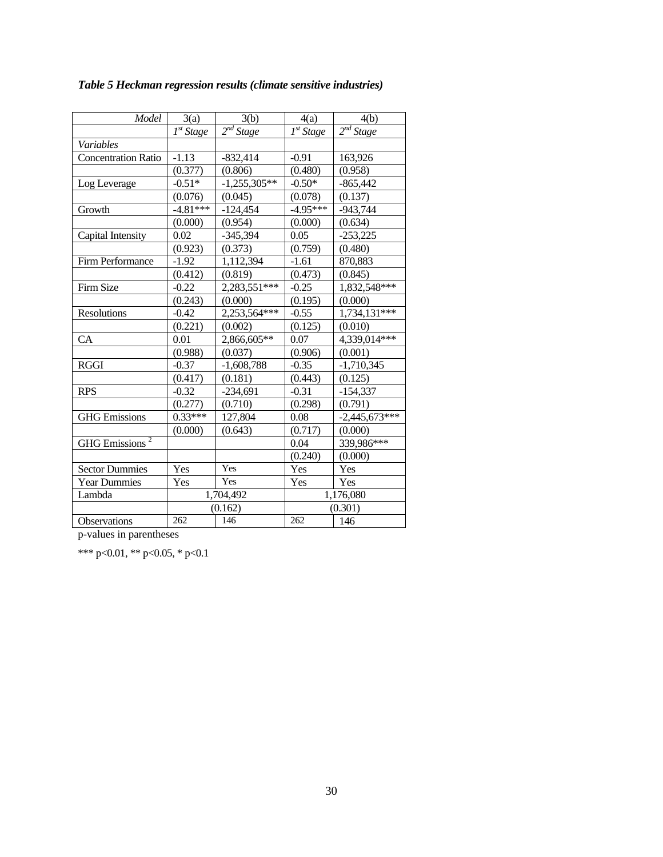| Model                      | 3(a)                      | 3(b)           | 4(a)                      | 4(b)                  |
|----------------------------|---------------------------|----------------|---------------------------|-----------------------|
|                            | $\overline{I^{st}}$ Stage | $2^{nd}$ Stage | $\overline{I^{st}}$ Stage | 2 <sup>nd</sup> Stage |
| Variables                  |                           |                |                           |                       |
| <b>Concentration Ratio</b> | $-1.13$                   | $-832,414$     | $-0.91$                   | 163,926               |
|                            | (0.377)                   | (0.806)        | (0.480)                   | (0.958)               |
| Log Leverage               | $-0.51*$                  | $-1,255,305**$ | $-0.50*$                  | $-865,442$            |
|                            | (0.076)                   | (0.045)        | (0.078)                   | (0.137)               |
| Growth                     | $-4.81***$                | $-124,454$     | $-4.95***$                | $-943,744$            |
|                            | (0.000)                   | (0.954)        | (0.000)                   | (0.634)               |
| Capital Intensity          | 0.02                      | $-345,394$     | 0.05                      | $-253,225$            |
|                            | (0.923)                   | (0.373)        | (0.759)                   | (0.480)               |
| Firm Performance           | $-1.92$                   | 1,112,394      | $-1.61$                   | 870,883               |
|                            | (0.412)                   | (0.819)        | (0.473)                   | (0.845)               |
| Firm Size                  | $-0.22$                   | 2,283,551***   | $-0.25$                   | 1,832,548***          |
|                            | (0.243)                   | (0.000)        | (0.195)                   | (0.000)               |
| Resolutions                | $-0.42$                   | 2,253,564***   | $-0.55$                   | $1,734,131***$        |
|                            | (0.221)                   | (0.002)        | (0.125)                   | (0.010)               |
| CA                         | 0.01                      | 2,866,605**    | 0.07                      | $4,339,014$ ***       |
|                            | (0.988)                   | (0.037)        | (0.906)                   | (0.001)               |
| <b>RGGI</b>                | $-0.37$                   | $-1,608,788$   | $-0.35$                   | $-1,710,345$          |
|                            | (0.417)                   | (0.181)        | (0.443)                   | (0.125)               |
| <b>RPS</b>                 | $-0.32$                   | $-234,691$     | $-0.31$                   | $-154,337$            |
|                            | (0.277)                   | (0.710)        | (0.298)                   | (0.791)               |
| <b>GHG</b> Emissions       | $0.33***$                 | 127,804        | 0.08                      | $-2,445,673$ ***      |
|                            | (0.000)                   | (0.643)        | (0.717)                   | (0.000)               |
| <b>GHG</b> Emissions       |                           |                | 0.04                      | 339,986***            |
|                            |                           |                | (0.240)                   | (0.000)               |
| <b>Sector Dummies</b>      | Yes                       | Yes            | Yes                       | Yes                   |
| <b>Year Dummies</b>        | Yes                       | Yes            | Yes                       | Yes                   |
| Lambda                     |                           | 1,704,492      |                           | 1,176,080             |
|                            |                           | (0.162)        | (0.301)                   |                       |
| <b>Observations</b>        | 262                       | 146            | 262                       | 146                   |

*Table 5 Heckman regression results (climate sensitive industries)* 

p-values in parentheses

\*\*\* p<0.01, \*\* p<0.05, \* p<0.1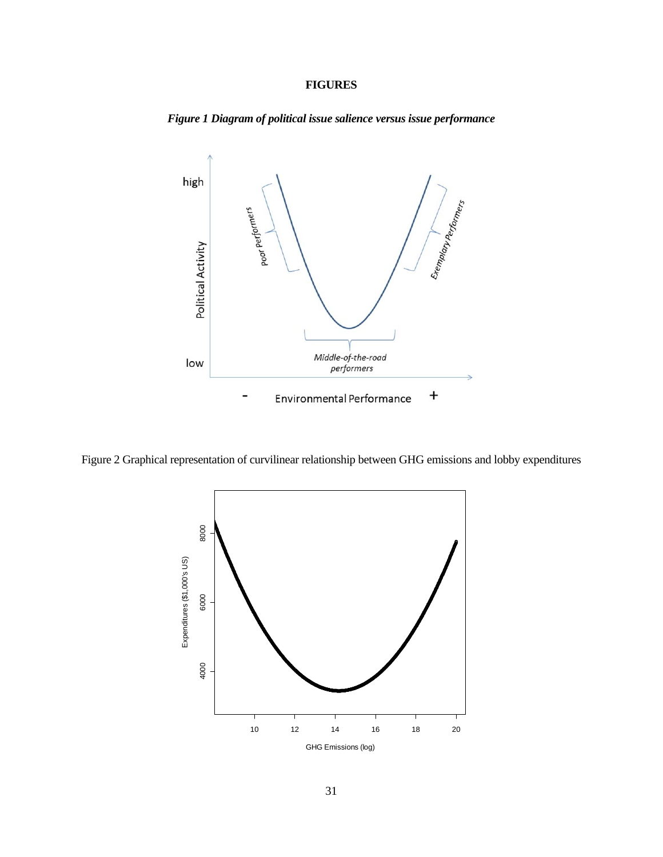# **FIGURES**



*Figure 1 Diagram of political issue salience versus issue performance* 

Figure 2 Graphical representation of curvilinear relationship between GHG emissions and lobby expenditures

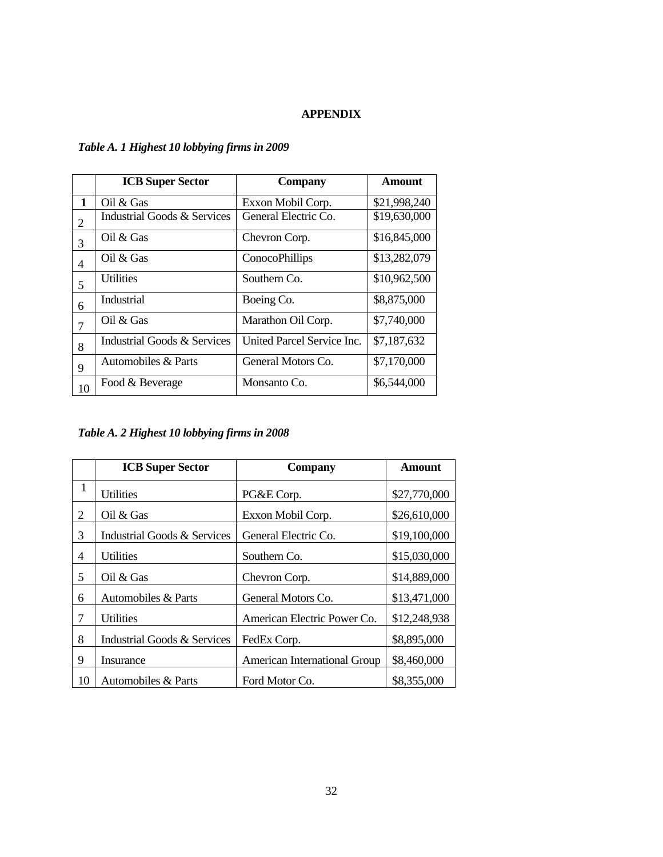### **APPENDIX**

|    | <b>ICB Super Sector</b>     | <b>Company</b>             | <b>Amount</b> |
|----|-----------------------------|----------------------------|---------------|
| 1  | Oil & Gas                   | Exxon Mobil Corp.          | \$21,998,240  |
| 2  | Industrial Goods & Services | General Electric Co.       | \$19,630,000  |
| 3  | Oil $&$ Gas                 | Chevron Corp.              | \$16,845,000  |
| 4  | Oil & Gas                   | ConocoPhillips             | \$13,282,079  |
| 5  | <b>Utilities</b>            | Southern Co.               | \$10,962,500  |
| 6  | Industrial                  | Boeing Co.                 | \$8,875,000   |
| 7  | Oil $&$ Gas                 | Marathon Oil Corp.         | \$7,740,000   |
| 8  | Industrial Goods & Services | United Parcel Service Inc. | \$7,187,632   |
| 9  | Automobiles & Parts         | General Motors Co.         | \$7,170,000   |
| 10 | Food & Beverage             | Monsanto Co.               | \$6,544,000   |

# *Table A. 1 Highest 10 lobbying firms in 2009*

# *Table A. 2 Highest 10 lobbying firms in 2008*

|    | <b>ICB Super Sector</b>                | <b>Company</b>                      | <b>Amount</b> |
|----|----------------------------------------|-------------------------------------|---------------|
| 1  | <b>Utilities</b>                       | PG&E Corp.                          | \$27,770,000  |
| 2  | Oil $&$ Gas                            | Exxon Mobil Corp.                   | \$26,610,000  |
| 3  | Industrial Goods & Services            | General Electric Co.                | \$19,100,000  |
| 4  | <b>Utilities</b>                       | Southern Co.                        | \$15,030,000  |
| 5  | Oil & Gas                              | Chevron Corp.                       | \$14,889,000  |
| 6  | Automobiles & Parts                    | General Motors Co.                  | \$13,471,000  |
| 7  | <b>Utilities</b>                       | American Electric Power Co.         | \$12,248,938  |
| 8  | <b>Industrial Goods &amp; Services</b> | FedEx Corp.                         | \$8,895,000   |
| 9  | Insurance                              | <b>American International Group</b> | \$8,460,000   |
| 10 | Automobiles & Parts                    | Ford Motor Co.                      | \$8,355,000   |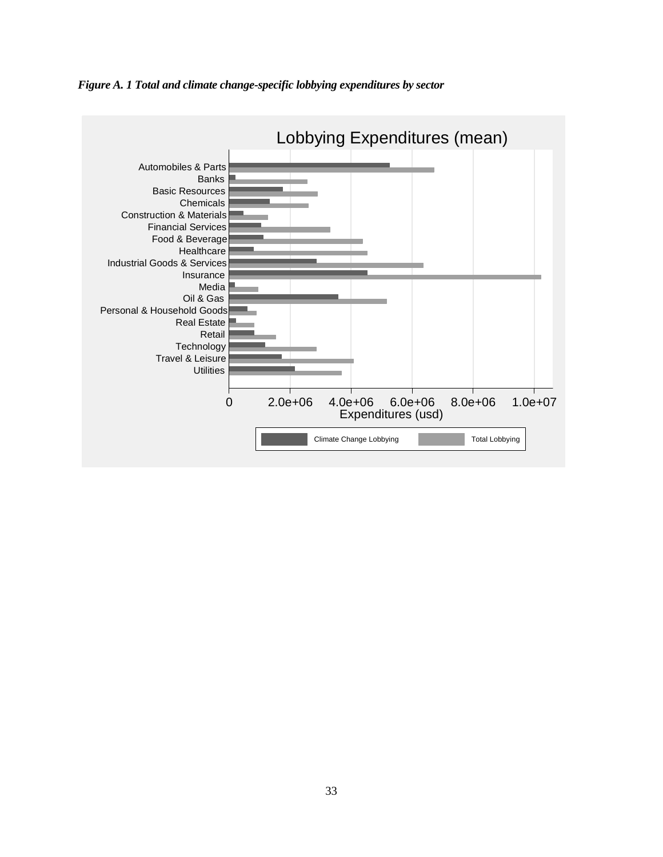

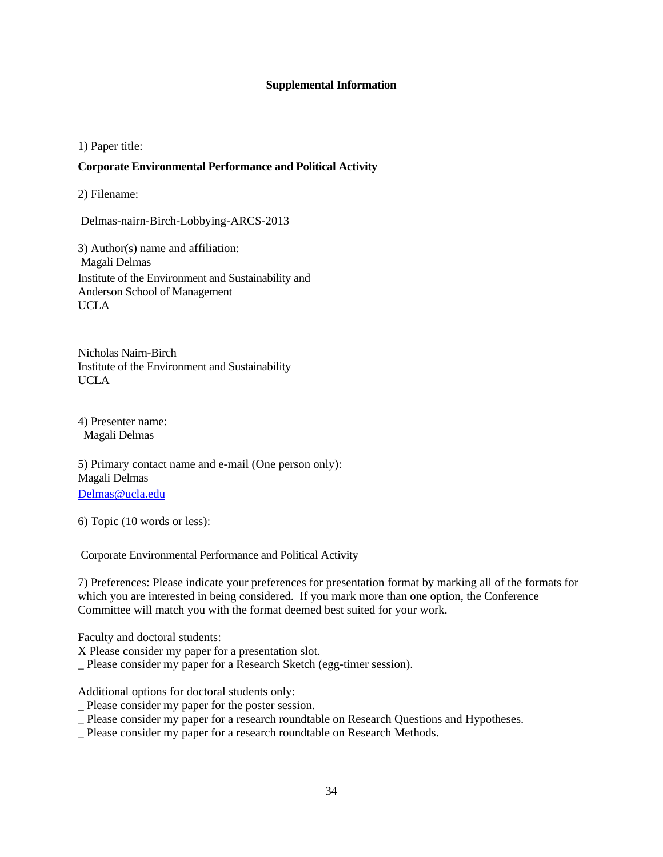### **Supplemental Information**

1) Paper title:

### **Corporate Environmental Performance and Political Activity**

2) Filename:

Delmas-nairn-Birch-Lobbying-ARCS-2013

3) Author(s) name and affiliation: Magali Delmas Institute of the Environment and Sustainability and Anderson School of Management UCLA

Nicholas Nairn-Birch Institute of the Environment and Sustainability UCLA

4) Presenter name: Magali Delmas

5) Primary contact name and e-mail (One person only): Magali Delmas Delmas@ucla.edu

6) Topic (10 words or less):

Corporate Environmental Performance and Political Activity

7) Preferences: Please indicate your preferences for presentation format by marking all of the formats for which you are interested in being considered. If you mark more than one option, the Conference Committee will match you with the format deemed best suited for your work.

Faculty and doctoral students:

X Please consider my paper for a presentation slot.

\_ Please consider my paper for a Research Sketch (egg-timer session).

Additional options for doctoral students only:

- \_ Please consider my paper for the poster session.
- \_ Please consider my paper for a research roundtable on Research Questions and Hypotheses.
- Please consider my paper for a research roundtable on Research Methods.